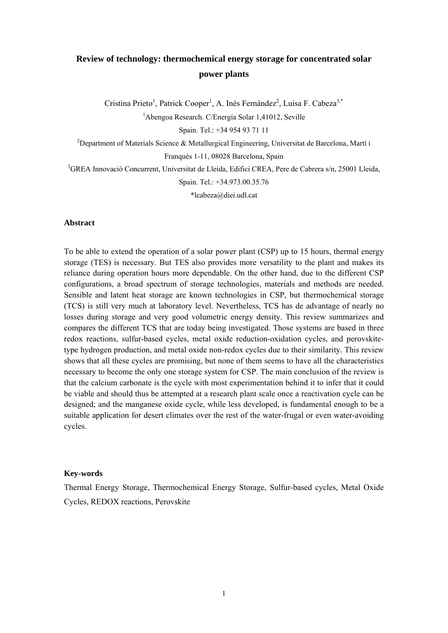# **Review of technology: thermochemical energy storage for concentrated solar power plants**

Cristina Prieto<sup>1</sup>, Patrick Cooper<sup>1</sup>, A. Inés Fernández<sup>2</sup>, Luisa F. Cabeza<sup>3,\*</sup>

<sup>1</sup>Abengoa Research. C/Energía Solar 1,41012, Seville

Spain. Tel.: +34 954 93 71 11

<sup>2</sup>Department of Materials Science & Metallurgical Engineering, Universitat de Barcelona, Martí i

Franqués 1-11, 08028 Barcelona, Spain

<sup>3</sup>GREA Innovació Concurrent, Universitat de Lleida, Edifici CREA, Pere de Cabrera s/n, 25001 Lleida,

Spain. Tel.: +34.973.00.35.76

\*lcabeza@diei.udl.cat

## **Abstract**

To be able to extend the operation of a solar power plant (CSP) up to 15 hours, thermal energy storage (TES) is necessary. But TES also provides more versatility to the plant and makes its reliance during operation hours more dependable. On the other hand, due to the different CSP configurations, a broad spectrum of storage technologies, materials and methods are needed. Sensible and latent heat storage are known technologies in CSP, but thermochemical storage (TCS) is still very much at laboratory level. Nevertheless, TCS has de advantage of nearly no losses during storage and very good volumetric energy density. This review summarizes and compares the different TCS that are today being investigated. Those systems are based in three redox reactions, sulfur-based cycles, metal oxide reduction-oxidation cycles, and perovskitetype hydrogen production, and metal oxide non-redox cycles due to their similarity. This review shows that all these cycles are promising, but none of them seems to have all the characteristics necessary to become the only one storage system for CSP. The main conclusion of the review is that the calcium carbonate is the cycle with most experimentation behind it to infer that it could be viable and should thus be attempted at a research plant scale once a reactivation cycle can be designed; and the manganese oxide cycle, while less developed, is fundamental enough to be a suitable application for desert climates over the rest of the water-frugal or even water-avoiding cycles.

# **Key-words**

Thermal Energy Storage, Thermochemical Energy Storage, Sulfur-based cycles, Metal Oxide Cycles, REDOX reactions, Perovskite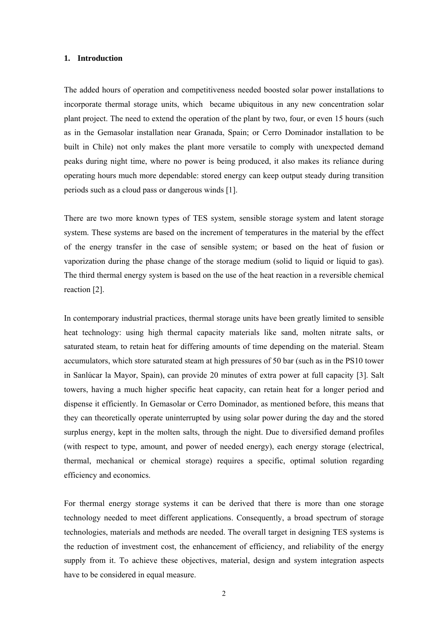## **1. Introduction**

The added hours of operation and competitiveness needed boosted solar power installations to incorporate thermal storage units, which became ubiquitous in any new concentration solar plant project. The need to extend the operation of the plant by two, four, or even 15 hours (such as in the Gemasolar installation near Granada, Spain; or Cerro Dominador installation to be built in Chile) not only makes the plant more versatile to comply with unexpected demand peaks during night time, where no power is being produced, it also makes its reliance during operating hours much more dependable: stored energy can keep output steady during transition periods such as a cloud pass or dangerous winds [1].

There are two more known types of TES system, sensible storage system and latent storage system. These systems are based on the increment of temperatures in the material by the effect of the energy transfer in the case of sensible system; or based on the heat of fusion or vaporization during the phase change of the storage medium (solid to liquid or liquid to gas). The third thermal energy system is based on the use of the heat reaction in a reversible chemical reaction [2].

In contemporary industrial practices, thermal storage units have been greatly limited to sensible heat technology: using high thermal capacity materials like sand, molten nitrate salts, or saturated steam, to retain heat for differing amounts of time depending on the material. Steam accumulators, which store saturated steam at high pressures of 50 bar (such as in the PS10 tower in Sanlúcar la Mayor, Spain), can provide 20 minutes of extra power at full capacity [3]. Salt towers, having a much higher specific heat capacity, can retain heat for a longer period and dispense it efficiently. In Gemasolar or Cerro Dominador, as mentioned before, this means that they can theoretically operate uninterrupted by using solar power during the day and the stored surplus energy, kept in the molten salts, through the night. Due to diversified demand profiles (with respect to type, amount, and power of needed energy), each energy storage (electrical, thermal, mechanical or chemical storage) requires a specific, optimal solution regarding efficiency and economics.

For thermal energy storage systems it can be derived that there is more than one storage technology needed to meet different applications. Consequently, a broad spectrum of storage technologies, materials and methods are needed. The overall target in designing TES systems is the reduction of investment cost, the enhancement of efficiency, and reliability of the energy supply from it. To achieve these objectives, material, design and system integration aspects have to be considered in equal measure.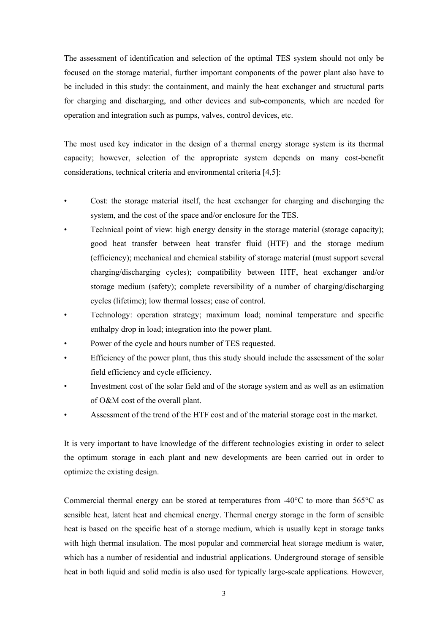The assessment of identification and selection of the optimal TES system should not only be focused on the storage material, further important components of the power plant also have to be included in this study: the containment, and mainly the heat exchanger and structural parts for charging and discharging, and other devices and sub-components, which are needed for operation and integration such as pumps, valves, control devices, etc.

The most used key indicator in the design of a thermal energy storage system is its thermal capacity; however, selection of the appropriate system depends on many cost-benefit considerations, technical criteria and environmental criteria [4,5]:

- Cost: the storage material itself, the heat exchanger for charging and discharging the system, and the cost of the space and/or enclosure for the TES.
- Technical point of view: high energy density in the storage material (storage capacity); good heat transfer between heat transfer fluid (HTF) and the storage medium (efficiency); mechanical and chemical stability of storage material (must support several charging/discharging cycles); compatibility between HTF, heat exchanger and/or storage medium (safety); complete reversibility of a number of charging/discharging cycles (lifetime); low thermal losses; ease of control.
- Technology: operation strategy; maximum load; nominal temperature and specific enthalpy drop in load; integration into the power plant.
- Power of the cycle and hours number of TES requested.
- Efficiency of the power plant, thus this study should include the assessment of the solar field efficiency and cycle efficiency.
- Investment cost of the solar field and of the storage system and as well as an estimation of O&M cost of the overall plant.
- Assessment of the trend of the HTF cost and of the material storage cost in the market.

It is very important to have knowledge of the different technologies existing in order to select the optimum storage in each plant and new developments are been carried out in order to optimize the existing design.

Commercial thermal energy can be stored at temperatures from  $-40^{\circ}$ C to more than 565 $^{\circ}$ C as sensible heat, latent heat and chemical energy. Thermal energy storage in the form of sensible heat is based on the specific heat of a storage medium, which is usually kept in storage tanks with high thermal insulation. The most popular and commercial heat storage medium is water, which has a number of residential and industrial applications. Underground storage of sensible heat in both liquid and solid media is also used for typically large-scale applications. However,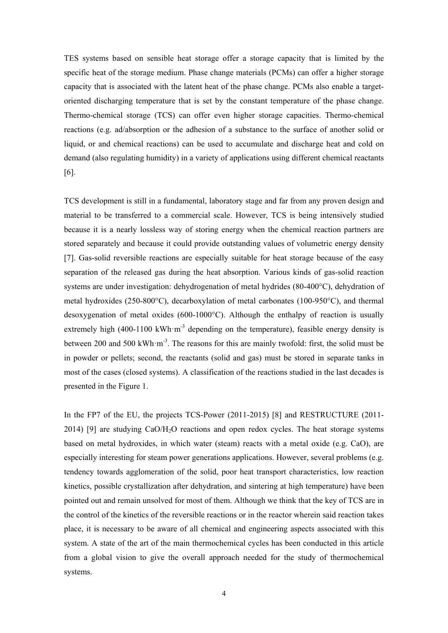TES systems based on sensible heat storage offer a storage capacity that is limited by the specific heat of the storage medium. Phase change materials (PCMs) can offer a higher storage capacity that is associated with the latent heat of the phase change. PCMs also enable a targetoriented discharging temperature that is set by the constant temperature of the phase change. Thermo-chemical storage (TCS) can offer even higher storage capacities. Thermo-chemical reactions (e.g. ad/absorption or the adhesion of a substance to the surface of another solid or liquid, or and chemical reactions) can be used to accumulate and discharge heat and cold on demand (also regulating humidity) in a variety of applications using different chemical reactants [6].

TCS development is still in a fundamental, laboratory stage and far from any proven design and material to be transferred to a commercial scale. However, TCS is being intensively studied because it is a nearly lossless way of storing energy when the chemical reaction partners are stored separately and because it could provide outstanding values of volumetric energy density [7]. Gas-solid reversible reactions are especially suitable for heat storage because of the easy separation of the released gas during the heat absorption. Various kinds of gas-solid reaction systems are under investigation: dehydrogenation of metal hydrides (80-400°C), dehydration of metal hydroxides (250-800°C), decarboxylation of metal carbonates (100-950°C), and thermal desoxygenation of metal oxides (600-1000°C). Although the enthalpy of reaction is usually extremely high (400-1100 kWh·m<sup>-3</sup> depending on the temperature), feasible energy density is between 200 and 500 kWh·m<sup>-3</sup>. The reasons for this are mainly twofold: first, the solid must be in powder or pellets; second, the reactants (solid and gas) must be stored in separate tanks in most of the cases (closed systems). A classification of the reactions studied in the last decades is presented in the Figure 1.

In the FP7 of the EU, the projects TCS-Power (2011-2015) [8] and RESTRUCTURE (2011- 2014) [9] are studying CaO/H2O reactions and open redox cycles. The heat storage systems based on metal hydroxides, in which water (steam) reacts with a metal oxide (e.g. CaO), are especially interesting for steam power generations applications. However, several problems (e.g. tendency towards agglomeration of the solid, poor heat transport characteristics, low reaction kinetics, possible crystallization after dehydration, and sintering at high temperature) have been pointed out and remain unsolved for most of them. Although we think that the key of TCS are in the control of the kinetics of the reversible reactions or in the reactor wherein said reaction takes place, it is necessary to be aware of all chemical and engineering aspects associated with this system. A state of the art of the main thermochemical cycles has been conducted in this article from a global vision to give the overall approach needed for the study of thermochemical systems.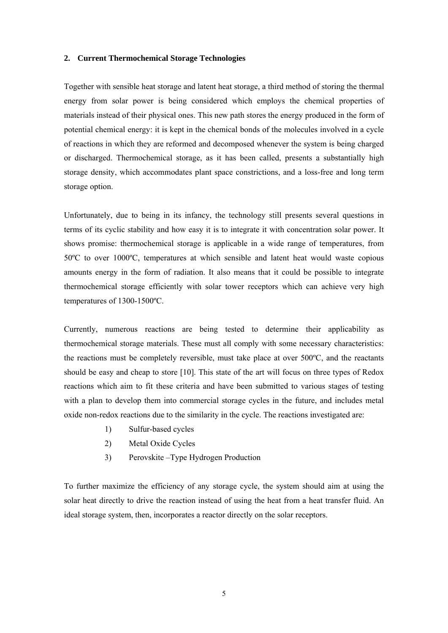# **2. Current Thermochemical Storage Technologies**

Together with sensible heat storage and latent heat storage, a third method of storing the thermal energy from solar power is being considered which employs the chemical properties of materials instead of their physical ones. This new path stores the energy produced in the form of potential chemical energy: it is kept in the chemical bonds of the molecules involved in a cycle of reactions in which they are reformed and decomposed whenever the system is being charged or discharged. Thermochemical storage, as it has been called, presents a substantially high storage density, which accommodates plant space constrictions, and a loss-free and long term storage option.

Unfortunately, due to being in its infancy, the technology still presents several questions in terms of its cyclic stability and how easy it is to integrate it with concentration solar power. It shows promise: thermochemical storage is applicable in a wide range of temperatures, from 50ºC to over 1000ºC, temperatures at which sensible and latent heat would waste copious amounts energy in the form of radiation. It also means that it could be possible to integrate thermochemical storage efficiently with solar tower receptors which can achieve very high temperatures of 1300-1500ºC.

Currently, numerous reactions are being tested to determine their applicability as thermochemical storage materials. These must all comply with some necessary characteristics: the reactions must be completely reversible, must take place at over 500ºC, and the reactants should be easy and cheap to store [10]. This state of the art will focus on three types of Redox reactions which aim to fit these criteria and have been submitted to various stages of testing with a plan to develop them into commercial storage cycles in the future, and includes metal oxide non-redox reactions due to the similarity in the cycle. The reactions investigated are:

- 1) Sulfur-based cycles
- 2) Metal Oxide Cycles
- 3) Perovskite –Type Hydrogen Production

To further maximize the efficiency of any storage cycle, the system should aim at using the solar heat directly to drive the reaction instead of using the heat from a heat transfer fluid. An ideal storage system, then, incorporates a reactor directly on the solar receptors.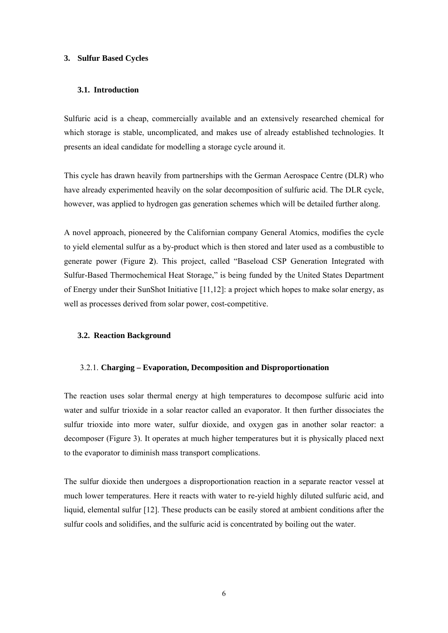## **3. Sulfur Based Cycles**

## **3.1. Introduction**

Sulfuric acid is a cheap, commercially available and an extensively researched chemical for which storage is stable, uncomplicated, and makes use of already established technologies. It presents an ideal candidate for modelling a storage cycle around it.

This cycle has drawn heavily from partnerships with the German Aerospace Centre (DLR) who have already experimented heavily on the solar decomposition of sulfuric acid. The DLR cycle, however, was applied to hydrogen gas generation schemes which will be detailed further along.

A novel approach, pioneered by the Californian company General Atomics, modifies the cycle to yield elemental sulfur as a by-product which is then stored and later used as a combustible to generate power (Figure **2**). This project, called "Baseload CSP Generation Integrated with Sulfur-Based Thermochemical Heat Storage," is being funded by the United States Department of Energy under their SunShot Initiative [11,12]: a project which hopes to make solar energy, as well as processes derived from solar power, cost-competitive.

## **3.2. Reaction Background**

## 3.2.1. **Charging – Evaporation, Decomposition and Disproportionation**

The reaction uses solar thermal energy at high temperatures to decompose sulfuric acid into water and sulfur trioxide in a solar reactor called an evaporator. It then further dissociates the sulfur trioxide into more water, sulfur dioxide, and oxygen gas in another solar reactor: a decomposer (Figure 3). It operates at much higher temperatures but it is physically placed next to the evaporator to diminish mass transport complications.

The sulfur dioxide then undergoes a disproportionation reaction in a separate reactor vessel at much lower temperatures. Here it reacts with water to re-yield highly diluted sulfuric acid, and liquid, elemental sulfur [12]. These products can be easily stored at ambient conditions after the sulfur cools and solidifies, and the sulfuric acid is concentrated by boiling out the water.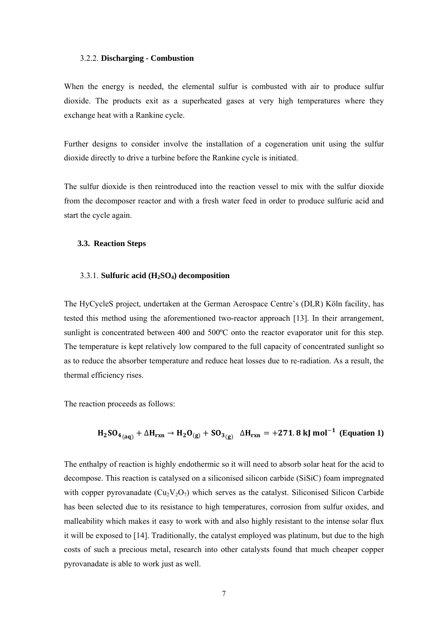#### 3.2.2. **Discharging - Combustion**

When the energy is needed, the elemental sulfur is combusted with air to produce sulfur dioxide. The products exit as a superheated gases at very high temperatures where they exchange heat with a Rankine cycle.

Further designs to consider involve the installation of a cogeneration unit using the sulfur dioxide directly to drive a turbine before the Rankine cycle is initiated.

The sulfur dioxide is then reintroduced into the reaction vessel to mix with the sulfur dioxide from the decomposer reactor and with a fresh water feed in order to produce sulfuric acid and start the cycle again.

## **3.3. Reaction Steps**

## 3.3.1. **Sulfuric acid (H2SO4) decomposition**

The HyCycleS project, undertaken at the German Aerospace Centre's (DLR) Köln facility, has tested this method using the aforementioned two-reactor approach [13]. In their arrangement, sunlight is concentrated between 400 and 500°C onto the reactor evaporator unit for this step. The temperature is kept relatively low compared to the full capacity of concentrated sunlight so as to reduce the absorber temperature and reduce heat losses due to re-radiation. As a result, the thermal efficiency rises.

The reaction proceeds as follows:

$$
H_2SO_{4(aq)} + \Delta H_{rxn} \rightarrow H_2O_{(g)} + SO_{3(g)} \quad \Delta H_{rxn} = +271.8 \text{ kJ mol}^{-1} \text{ (Equation 1)}
$$

The enthalpy of reaction is highly endothermic so it will need to absorb solar heat for the acid to decompose. This reaction is catalysed on a siliconised silicon carbide (SiSiC) foam impregnated with copper pyrovanadate  $(Cu_2V_2O_7)$  which serves as the catalyst. Siliconised Silicon Carbide has been selected due to its resistance to high temperatures, corrosion from sulfur oxides, and malleability which makes it easy to work with and also highly resistant to the intense solar flux it will be exposed to [14]. Traditionally, the catalyst employed was platinum, but due to the high costs of such a precious metal, research into other catalysts found that much cheaper copper pyrovanadate is able to work just as well.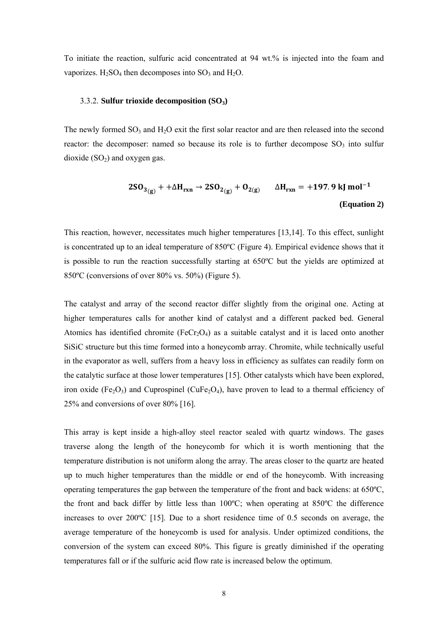To initiate the reaction, sulfuric acid concentrated at 94 wt.% is injected into the foam and vaporizes.  $H_2SO_4$  then decomposes into  $SO_3$  and  $H_2O$ .

#### 3.3.2. **Sulfur trioxide decomposition (SO3)**

The newly formed  $SO_3$  and  $H_2O$  exit the first solar reactor and are then released into the second reactor: the decomposer: named so because its role is to further decompose  $SO<sub>3</sub>$  into sulfur dioxide  $(SO<sub>2</sub>)$  and oxygen gas.

$$
2SO_{3(g)} + +\Delta H_{rxn} \to 2SO_{2(g)} + O_{2(g)} \qquad \Delta H_{rxn} = +197.9 \text{ kJ mol}^{-1}
$$
\n(Equation 2)

This reaction, however, necessitates much higher temperatures [13,14]. To this effect, sunlight is concentrated up to an ideal temperature of 850ºC (Figure 4). Empirical evidence shows that it is possible to run the reaction successfully starting at 650ºC but the yields are optimized at 850ºC (conversions of over 80% vs. 50%) (Figure 5).

The catalyst and array of the second reactor differ slightly from the original one. Acting at higher temperatures calls for another kind of catalyst and a different packed bed. General Atomics has identified chromite ( $FeCr<sub>2</sub>O<sub>4</sub>$ ) as a suitable catalyst and it is laced onto another SiSiC structure but this time formed into a honeycomb array. Chromite, while technically useful in the evaporator as well, suffers from a heavy loss in efficiency as sulfates can readily form on the catalytic surface at those lower temperatures [15]. Other catalysts which have been explored, iron oxide (Fe<sub>2</sub>O<sub>3</sub>) and Cuprospinel (CuFe<sub>2</sub>O<sub>4</sub>), have proven to lead to a thermal efficiency of 25% and conversions of over 80% [16].

This array is kept inside a high-alloy steel reactor sealed with quartz windows. The gases traverse along the length of the honeycomb for which it is worth mentioning that the temperature distribution is not uniform along the array. The areas closer to the quartz are heated up to much higher temperatures than the middle or end of the honeycomb. With increasing operating temperatures the gap between the temperature of the front and back widens: at 650ºC, the front and back differ by little less than  $100^{\circ}$ C; when operating at 850 $^{\circ}$ C the difference increases to over 200ºC [15]. Due to a short residence time of 0.5 seconds on average, the average temperature of the honeycomb is used for analysis. Under optimized conditions, the conversion of the system can exceed 80%. This figure is greatly diminished if the operating temperatures fall or if the sulfuric acid flow rate is increased below the optimum.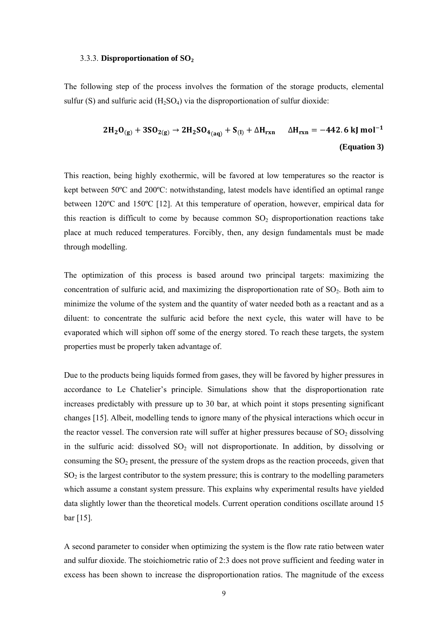#### 3.3.3. **Disproportionation of SO2**

The following step of the process involves the formation of the storage products, elemental sulfur (S) and sulfuric acid  $(H_2SO_4)$  via the disproportionation of sulfur dioxide:

$$
2H_2O_{(g)} + 3SO_{2(g)} \to 2H_2SO_{4(aq)} + S_{(l)} + \Delta H_{rxn} \qquad \Delta H_{rxn} = -442.6 \text{ kJ mol}^{-1}
$$
\n(Equation 3)

This reaction, being highly exothermic, will be favored at low temperatures so the reactor is kept between 50ºC and 200ºC: notwithstanding, latest models have identified an optimal range between 120ºC and 150ºC [12]. At this temperature of operation, however, empirical data for this reaction is difficult to come by because common  $SO<sub>2</sub>$  disproportionation reactions take place at much reduced temperatures. Forcibly, then, any design fundamentals must be made through modelling.

The optimization of this process is based around two principal targets: maximizing the concentration of sulfuric acid, and maximizing the disproportionation rate of  $SO_2$ . Both aim to minimize the volume of the system and the quantity of water needed both as a reactant and as a diluent: to concentrate the sulfuric acid before the next cycle, this water will have to be evaporated which will siphon off some of the energy stored. To reach these targets, the system properties must be properly taken advantage of.

Due to the products being liquids formed from gases, they will be favored by higher pressures in accordance to Le Chatelier's principle. Simulations show that the disproportionation rate increases predictably with pressure up to 30 bar, at which point it stops presenting significant changes [15]. Albeit, modelling tends to ignore many of the physical interactions which occur in the reactor vessel. The conversion rate will suffer at higher pressures because of  $SO<sub>2</sub>$  dissolving in the sulfuric acid: dissolved  $SO_2$  will not disproportionate. In addition, by dissolving or consuming the  $SO<sub>2</sub>$  present, the pressure of the system drops as the reaction proceeds, given that  $SO<sub>2</sub>$  is the largest contributor to the system pressure; this is contrary to the modelling parameters which assume a constant system pressure. This explains why experimental results have yielded data slightly lower than the theoretical models. Current operation conditions oscillate around 15 bar [15].

A second parameter to consider when optimizing the system is the flow rate ratio between water and sulfur dioxide. The stoichiometric ratio of 2:3 does not prove sufficient and feeding water in excess has been shown to increase the disproportionation ratios. The magnitude of the excess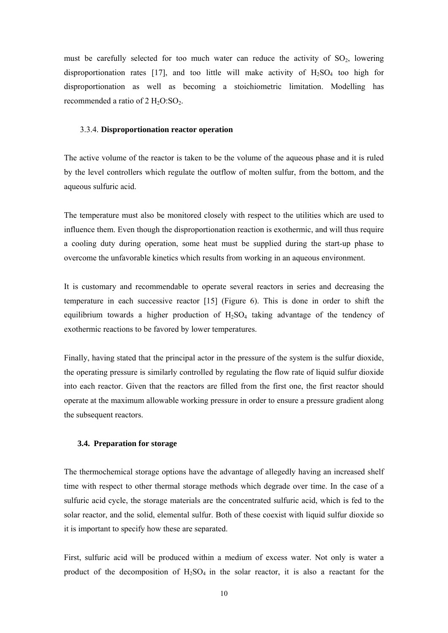must be carefully selected for too much water can reduce the activity of  $SO_2$ , lowering disproportionation rates [17], and too little will make activity of  $H_2SO_4$  too high for disproportionation as well as becoming a stoichiometric limitation. Modelling has recommended a ratio of  $2 \text{ H}_2\text{O}:\text{SO}_2$ .

#### 3.3.4. **Disproportionation reactor operation**

The active volume of the reactor is taken to be the volume of the aqueous phase and it is ruled by the level controllers which regulate the outflow of molten sulfur, from the bottom, and the aqueous sulfuric acid.

The temperature must also be monitored closely with respect to the utilities which are used to influence them. Even though the disproportionation reaction is exothermic, and will thus require a cooling duty during operation, some heat must be supplied during the start-up phase to overcome the unfavorable kinetics which results from working in an aqueous environment.

It is customary and recommendable to operate several reactors in series and decreasing the temperature in each successive reactor [15] (Figure 6). This is done in order to shift the equilibrium towards a higher production of  $H_2SO_4$  taking advantage of the tendency of exothermic reactions to be favored by lower temperatures.

Finally, having stated that the principal actor in the pressure of the system is the sulfur dioxide, the operating pressure is similarly controlled by regulating the flow rate of liquid sulfur dioxide into each reactor. Given that the reactors are filled from the first one, the first reactor should operate at the maximum allowable working pressure in order to ensure a pressure gradient along the subsequent reactors.

## **3.4. Preparation for storage**

The thermochemical storage options have the advantage of allegedly having an increased shelf time with respect to other thermal storage methods which degrade over time. In the case of a sulfuric acid cycle, the storage materials are the concentrated sulfuric acid, which is fed to the solar reactor, and the solid, elemental sulfur. Both of these coexist with liquid sulfur dioxide so it is important to specify how these are separated.

First, sulfuric acid will be produced within a medium of excess water. Not only is water a product of the decomposition of  $H_2SO_4$  in the solar reactor, it is also a reactant for the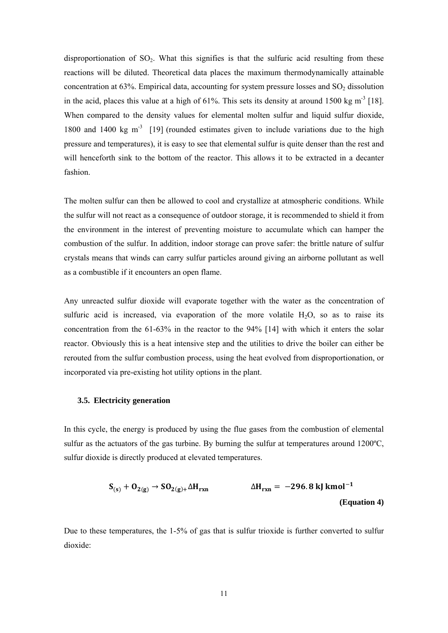disproportionation of  $SO_2$ . What this signifies is that the sulfuric acid resulting from these reactions will be diluted. Theoretical data places the maximum thermodynamically attainable concentration at  $63\%$ . Empirical data, accounting for system pressure losses and  $SO<sub>2</sub>$  dissolution in the acid, places this value at a high of 61%. This sets its density at around 1500 kg  $m<sup>-3</sup>$  [18]. When compared to the density values for elemental molten sulfur and liquid sulfur dioxide, 1800 and 1400 kg m<sup>-3</sup> [19] (rounded estimates given to include variations due to the high pressure and temperatures), it is easy to see that elemental sulfur is quite denser than the rest and will henceforth sink to the bottom of the reactor. This allows it to be extracted in a decanter fashion.

The molten sulfur can then be allowed to cool and crystallize at atmospheric conditions. While the sulfur will not react as a consequence of outdoor storage, it is recommended to shield it from the environment in the interest of preventing moisture to accumulate which can hamper the combustion of the sulfur. In addition, indoor storage can prove safer: the brittle nature of sulfur crystals means that winds can carry sulfur particles around giving an airborne pollutant as well as a combustible if it encounters an open flame.

Any unreacted sulfur dioxide will evaporate together with the water as the concentration of sulfuric acid is increased, via evaporation of the more volatile  $H_2O$ , so as to raise its concentration from the 61-63% in the reactor to the 94% [14] with which it enters the solar reactor. Obviously this is a heat intensive step and the utilities to drive the boiler can either be rerouted from the sulfur combustion process, using the heat evolved from disproportionation, or incorporated via pre-existing hot utility options in the plant.

## **3.5. Electricity generation**

In this cycle, the energy is produced by using the flue gases from the combustion of elemental sulfur as the actuators of the gas turbine. By burning the sulfur at temperatures around 1200ºC, sulfur dioxide is directly produced at elevated temperatures.

$$
S_{(s)} + O_{2(g)} \rightarrow SO_{2(g)+} \Delta H_{rxn} \qquad \Delta H_{rxn} = -296.8 \text{ kJ kmol}^{-1}
$$
\n(Equation 4)

Due to these temperatures, the 1-5% of gas that is sulfur trioxide is further converted to sulfur dioxide: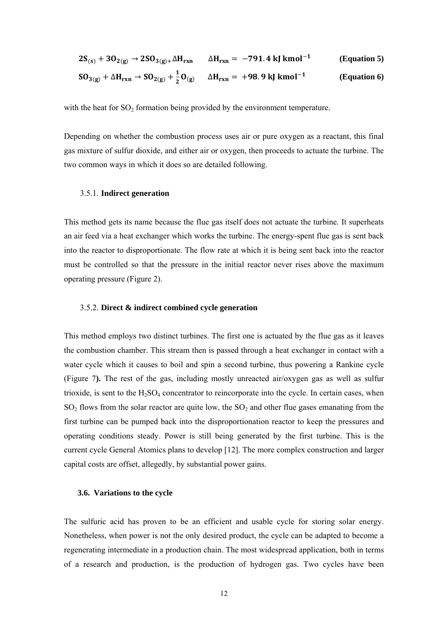$$
2S_{(s)} + 3O_{2(g)} \rightarrow 2SO_{3(g)+} \Delta H_{rxn} \qquad \Delta H_{rxn} = -791.4 \text{ kJ kmol}^{-1} \qquad \text{(Equation 5)}
$$
  

$$
SO_{3(g)} + \Delta H_{rxn} \rightarrow SO_{2(g)} + \frac{1}{2}O_{(g)} \qquad \Delta H_{rxn} = +98.9 \text{ kJ kmol}^{-1} \qquad \text{(Equation 6)}
$$

with the heat for  $SO_2$  formation being provided by the environment temperature.

Depending on whether the combustion process uses air or pure oxygen as a reactant, this final gas mixture of sulfur dioxide, and either air or oxygen, then proceeds to actuate the turbine. The two common ways in which it does so are detailed following.

#### 3.5.1. **Indirect generation**

This method gets its name because the flue gas itself does not actuate the turbine. It superheats an air feed via a heat exchanger which works the turbine. The energy-spent flue gas is sent back into the reactor to disproportionate. The flow rate at which it is being sent back into the reactor must be controlled so that the pressure in the initial reactor never rises above the maximum operating pressure (Figure 2).

## 3.5.2. **Direct & indirect combined cycle generation**

This method employs two distinct turbines. The first one is actuated by the flue gas as it leaves the combustion chamber. This stream then is passed through a heat exchanger in contact with a water cycle which it causes to boil and spin a second turbine, thus powering a Rankine cycle (Figure 7**).** The rest of the gas, including mostly unreacted air/oxygen gas as well as sulfur trioxide, is sent to the  $H<sub>2</sub>SO<sub>4</sub>$  concentrator to reincorporate into the cycle. In certain cases, when  $SO<sub>2</sub>$  flows from the solar reactor are quite low, the  $SO<sub>2</sub>$  and other flue gases emanating from the first turbine can be pumped back into the disproportionation reactor to keep the pressures and operating conditions steady. Power is still being generated by the first turbine. This is the current cycle General Atomics plans to develop [12]. The more complex construction and larger capital costs are offset, allegedly, by substantial power gains.

#### **3.6. Variations to the cycle**

The sulfuric acid has proven to be an efficient and usable cycle for storing solar energy. Nonetheless, when power is not the only desired product, the cycle can be adapted to become a regenerating intermediate in a production chain. The most widespread application, both in terms of a research and production, is the production of hydrogen gas. Two cycles have been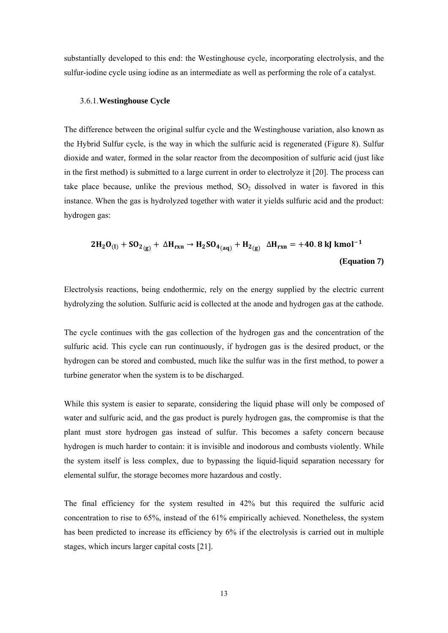substantially developed to this end: the Westinghouse cycle, incorporating electrolysis, and the sulfur-iodine cycle using iodine as an intermediate as well as performing the role of a catalyst.

#### 3.6.1.**Westinghouse Cycle**

The difference between the original sulfur cycle and the Westinghouse variation, also known as the Hybrid Sulfur cycle, is the way in which the sulfuric acid is regenerated (Figure 8). Sulfur dioxide and water, formed in the solar reactor from the decomposition of sulfuric acid (just like in the first method) is submitted to a large current in order to electrolyze it [20]. The process can take place because, unlike the previous method,  $SO<sub>2</sub>$  dissolved in water is favored in this instance. When the gas is hydrolyzed together with water it yields sulfuric acid and the product: hydrogen gas:

$$
2H_2O_{(l)} + SO_{2(g)} + \Delta H_{rxn} \rightarrow H_2SO_{4(aq)} + H_{2(g)} \quad \Delta H_{rxn} = +40.8 \text{ kJ kmol}^{-1}
$$
\n(Equation 7)

Electrolysis reactions, being endothermic, rely on the energy supplied by the electric current hydrolyzing the solution. Sulfuric acid is collected at the anode and hydrogen gas at the cathode.

The cycle continues with the gas collection of the hydrogen gas and the concentration of the sulfuric acid. This cycle can run continuously, if hydrogen gas is the desired product, or the hydrogen can be stored and combusted, much like the sulfur was in the first method, to power a turbine generator when the system is to be discharged.

While this system is easier to separate, considering the liquid phase will only be composed of water and sulfuric acid, and the gas product is purely hydrogen gas, the compromise is that the plant must store hydrogen gas instead of sulfur. This becomes a safety concern because hydrogen is much harder to contain: it is invisible and inodorous and combusts violently. While the system itself is less complex, due to bypassing the liquid-liquid separation necessary for elemental sulfur, the storage becomes more hazardous and costly.

The final efficiency for the system resulted in 42% but this required the sulfuric acid concentration to rise to 65%, instead of the 61% empirically achieved. Nonetheless, the system has been predicted to increase its efficiency by 6% if the electrolysis is carried out in multiple stages, which incurs larger capital costs [21].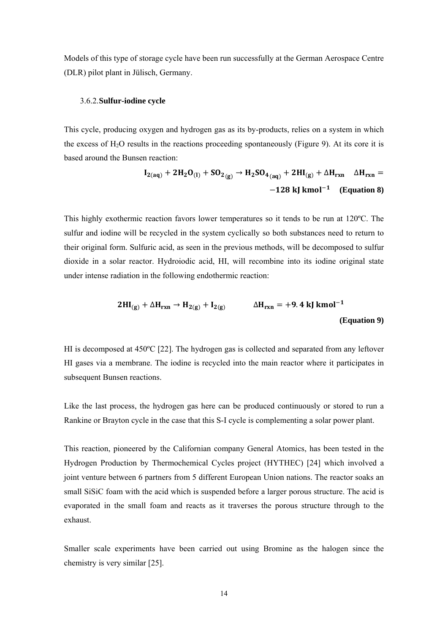Models of this type of storage cycle have been run successfully at the German Aerospace Centre (DLR) pilot plant in Jülisch, Germany.

#### 3.6.2.**Sulfur-iodine cycle**

This cycle, producing oxygen and hydrogen gas as its by-products, relies on a system in which the excess of  $H_2O$  results in the reactions proceeding spontaneously (Figure 9). At its core it is based around the Bunsen reaction:

$$
I_{2(aq)} + 2H_2O_{(1)} + SO_{2(g)} \rightarrow H_2SO_{4(aq)} + 2HI_{(g)} + \Delta H_{rxn} \quad \Delta H_{rxn} = -128 \text{ kJ kmol}^{-1} \quad \text{(Equation 8)}
$$

This highly exothermic reaction favors lower temperatures so it tends to be run at 120ºC. The sulfur and iodine will be recycled in the system cyclically so both substances need to return to their original form. Sulfuric acid, as seen in the previous methods, will be decomposed to sulfur dioxide in a solar reactor. Hydroiodic acid, HI, will recombine into its iodine original state under intense radiation in the following endothermic reaction:

$$
2HI_{(g)} + \Delta H_{rxn} \rightarrow H_{2(g)} + I_{2(g)} \qquad \Delta H_{rxn} = +9.4 \text{ kJ kmol}^{-1}
$$
\n(Equation 9)

HI is decomposed at 450°C [22]. The hydrogen gas is collected and separated from any leftover HI gases via a membrane. The iodine is recycled into the main reactor where it participates in subsequent Bunsen reactions.

Like the last process, the hydrogen gas here can be produced continuously or stored to run a Rankine or Brayton cycle in the case that this S-I cycle is complementing a solar power plant.

This reaction, pioneered by the Californian company General Atomics, has been tested in the Hydrogen Production by Thermochemical Cycles project (HYTHEC) [24] which involved a joint venture between 6 partners from 5 different European Union nations. The reactor soaks an small SiSiC foam with the acid which is suspended before a larger porous structure. The acid is evaporated in the small foam and reacts as it traverses the porous structure through to the exhaust.

Smaller scale experiments have been carried out using Bromine as the halogen since the chemistry is very similar [25].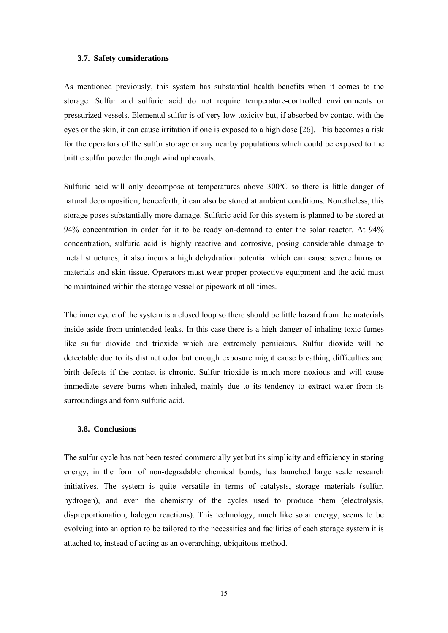#### **3.7. Safety considerations**

As mentioned previously, this system has substantial health benefits when it comes to the storage. Sulfur and sulfuric acid do not require temperature-controlled environments or pressurized vessels. Elemental sulfur is of very low toxicity but, if absorbed by contact with the eyes or the skin, it can cause irritation if one is exposed to a high dose [26]. This becomes a risk for the operators of the sulfur storage or any nearby populations which could be exposed to the brittle sulfur powder through wind upheavals.

Sulfuric acid will only decompose at temperatures above 300ºC so there is little danger of natural decomposition; henceforth, it can also be stored at ambient conditions. Nonetheless, this storage poses substantially more damage. Sulfuric acid for this system is planned to be stored at 94% concentration in order for it to be ready on-demand to enter the solar reactor. At 94% concentration, sulfuric acid is highly reactive and corrosive, posing considerable damage to metal structures; it also incurs a high dehydration potential which can cause severe burns on materials and skin tissue. Operators must wear proper protective equipment and the acid must be maintained within the storage vessel or pipework at all times.

The inner cycle of the system is a closed loop so there should be little hazard from the materials inside aside from unintended leaks. In this case there is a high danger of inhaling toxic fumes like sulfur dioxide and trioxide which are extremely pernicious. Sulfur dioxide will be detectable due to its distinct odor but enough exposure might cause breathing difficulties and birth defects if the contact is chronic. Sulfur trioxide is much more noxious and will cause immediate severe burns when inhaled, mainly due to its tendency to extract water from its surroundings and form sulfuric acid.

#### **3.8. Conclusions**

The sulfur cycle has not been tested commercially yet but its simplicity and efficiency in storing energy, in the form of non-degradable chemical bonds, has launched large scale research initiatives. The system is quite versatile in terms of catalysts, storage materials (sulfur, hydrogen), and even the chemistry of the cycles used to produce them (electrolysis, disproportionation, halogen reactions). This technology, much like solar energy, seems to be evolving into an option to be tailored to the necessities and facilities of each storage system it is attached to, instead of acting as an overarching, ubiquitous method.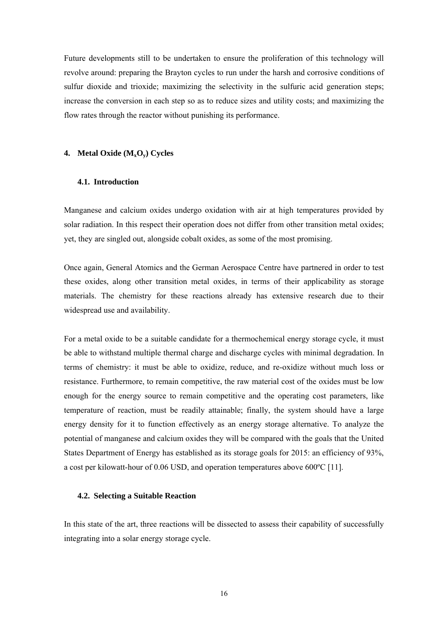Future developments still to be undertaken to ensure the proliferation of this technology will revolve around: preparing the Brayton cycles to run under the harsh and corrosive conditions of sulfur dioxide and trioxide; maximizing the selectivity in the sulfuric acid generation steps; increase the conversion in each step so as to reduce sizes and utility costs; and maximizing the flow rates through the reactor without punishing its performance.

## **4. Metal Oxide (MxOy) Cycles**

## **4.1. Introduction**

Manganese and calcium oxides undergo oxidation with air at high temperatures provided by solar radiation. In this respect their operation does not differ from other transition metal oxides; yet, they are singled out, alongside cobalt oxides, as some of the most promising.

Once again, General Atomics and the German Aerospace Centre have partnered in order to test these oxides, along other transition metal oxides, in terms of their applicability as storage materials. The chemistry for these reactions already has extensive research due to their widespread use and availability.

For a metal oxide to be a suitable candidate for a thermochemical energy storage cycle, it must be able to withstand multiple thermal charge and discharge cycles with minimal degradation. In terms of chemistry: it must be able to oxidize, reduce, and re-oxidize without much loss or resistance. Furthermore, to remain competitive, the raw material cost of the oxides must be low enough for the energy source to remain competitive and the operating cost parameters, like temperature of reaction, must be readily attainable; finally, the system should have a large energy density for it to function effectively as an energy storage alternative. To analyze the potential of manganese and calcium oxides they will be compared with the goals that the United States Department of Energy has established as its storage goals for 2015: an efficiency of 93%, a cost per kilowatt-hour of 0.06 USD, and operation temperatures above 600ºC [11].

## **4.2. Selecting a Suitable Reaction**

In this state of the art, three reactions will be dissected to assess their capability of successfully integrating into a solar energy storage cycle.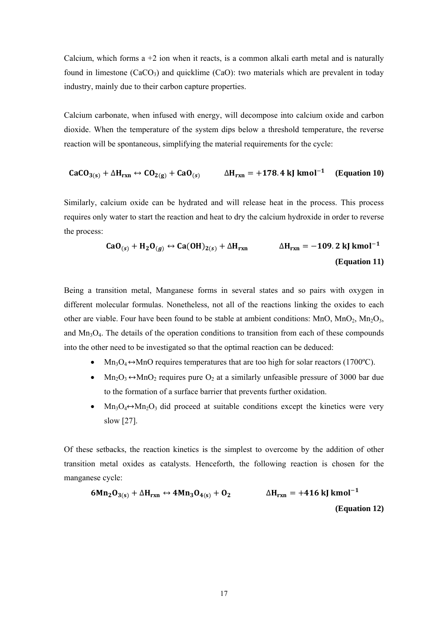Calcium, which forms  $a + 2$  ion when it reacts, is a common alkali earth metal and is naturally found in limestone  $(CaCO_3)$  and quicklime  $(CaO)$ : two materials which are prevalent in today industry, mainly due to their carbon capture properties.

Calcium carbonate, when infused with energy, will decompose into calcium oxide and carbon dioxide. When the temperature of the system dips below a threshold temperature, the reverse reaction will be spontaneous, simplifying the material requirements for the cycle:

$$
CaCO_{3(s)} + \Delta H_{rxn} \leftrightarrow CO_{2(g)} + CaO_{(s)} \qquad \Delta H_{rxn} = +178.4 \text{ kJ kmol}^{-1} \quad \text{(Equation 10)}
$$

Similarly, calcium oxide can be hydrated and will release heat in the process. This process requires only water to start the reaction and heat to dry the calcium hydroxide in order to reverse the process:

$$
CaO_{(s)} + H_2O_{(g)} \leftrightarrow Ca(OH)_{2(s)} + \Delta H_{rxn} \qquad \Delta H_{rxn} = -109.2 \text{ kJ kmol}^{-1}
$$
\n(Equation 11)

Being a transition metal, Manganese forms in several states and so pairs with oxygen in different molecular formulas. Nonetheless, not all of the reactions linking the oxides to each other are viable. Four have been found to be stable at ambient conditions:  $MnO_1$ ,  $MnO_2$ ,  $Mn<sub>2</sub>O_3$ , and  $Mn<sub>3</sub>O<sub>4</sub>$ . The details of the operation conditions to transition from each of these compounds into the other need to be investigated so that the optimal reaction can be deduced:

- Mn<sub>3</sub>O<sub>4</sub>  $\leftrightarrow$ MnO requires temperatures that are too high for solar reactors (1700<sup>o</sup>C).
- $Mn_2O_3 \leftrightarrow MnO_2$  requires pure  $O_2$  at a similarly unfeasible pressure of 3000 bar due to the formation of a surface barrier that prevents further oxidation.
- $Mn_3O_4 \leftrightarrow Mn_2O_3$  did proceed at suitable conditions except the kinetics were very slow [27].

Of these setbacks, the reaction kinetics is the simplest to overcome by the addition of other transition metal oxides as catalysts. Henceforth, the following reaction is chosen for the manganese cycle:

$$
6Mn_2O_{3(s)} + \Delta H_{rxn} \leftrightarrow 4Mn_3O_{4(s)} + O_2 \qquad \qquad \Delta H_{rxn} = +416 \text{ kJ kmol}^{-1}
$$

 **(Equation 12)**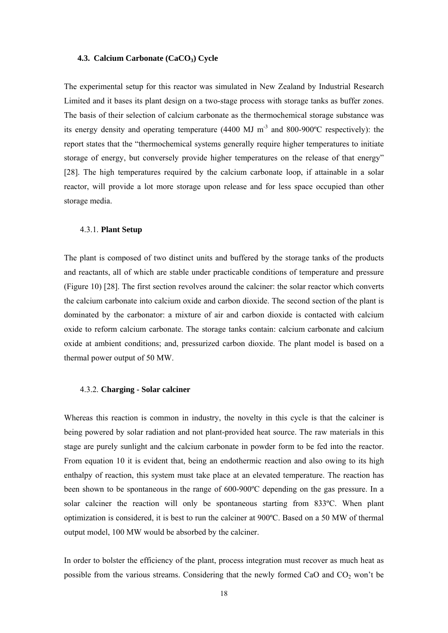# **4.3. Calcium Carbonate (CaCO3) Cycle**

The experimental setup for this reactor was simulated in New Zealand by Industrial Research Limited and it bases its plant design on a two-stage process with storage tanks as buffer zones. The basis of their selection of calcium carbonate as the thermochemical storage substance was its energy density and operating temperature  $(4400 \text{ MJ m}^{-3})$  and  $800\text{-}900\text{°C}$  respectively): the report states that the "thermochemical systems generally require higher temperatures to initiate storage of energy, but conversely provide higher temperatures on the release of that energy" [28]. The high temperatures required by the calcium carbonate loop, if attainable in a solar reactor, will provide a lot more storage upon release and for less space occupied than other storage media.

#### 4.3.1. **Plant Setup**

The plant is composed of two distinct units and buffered by the storage tanks of the products and reactants, all of which are stable under practicable conditions of temperature and pressure (Figure 10) [28]. The first section revolves around the calciner: the solar reactor which converts the calcium carbonate into calcium oxide and carbon dioxide. The second section of the plant is dominated by the carbonator: a mixture of air and carbon dioxide is contacted with calcium oxide to reform calcium carbonate. The storage tanks contain: calcium carbonate and calcium oxide at ambient conditions; and, pressurized carbon dioxide. The plant model is based on a thermal power output of 50 MW.

#### 4.3.2. **Charging - Solar calciner**

Whereas this reaction is common in industry, the novelty in this cycle is that the calciner is being powered by solar radiation and not plant-provided heat source. The raw materials in this stage are purely sunlight and the calcium carbonate in powder form to be fed into the reactor. From equation 10 it is evident that, being an endothermic reaction and also owing to its high enthalpy of reaction, this system must take place at an elevated temperature. The reaction has been shown to be spontaneous in the range of 600-900ºC depending on the gas pressure. In a solar calciner the reaction will only be spontaneous starting from 833ºC. When plant optimization is considered, it is best to run the calciner at 900ºC. Based on a 50 MW of thermal output model, 100 MW would be absorbed by the calciner.

In order to bolster the efficiency of the plant, process integration must recover as much heat as possible from the various streams. Considering that the newly formed CaO and  $CO<sub>2</sub>$  won't be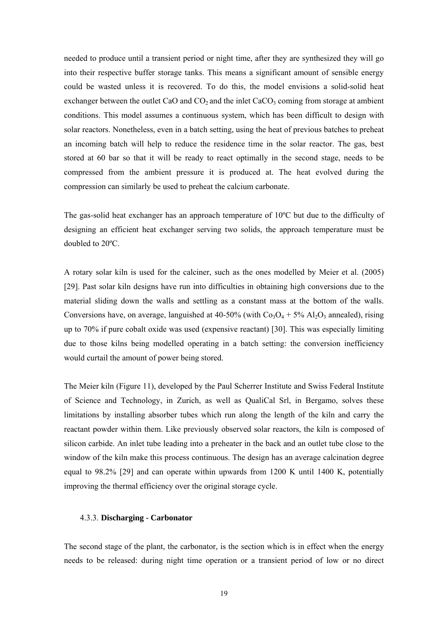needed to produce until a transient period or night time, after they are synthesized they will go into their respective buffer storage tanks. This means a significant amount of sensible energy could be wasted unless it is recovered. To do this, the model envisions a solid-solid heat exchanger between the outlet CaO and  $CO<sub>2</sub>$  and the inlet CaCO<sub>3</sub> coming from storage at ambient conditions. This model assumes a continuous system, which has been difficult to design with solar reactors. Nonetheless, even in a batch setting, using the heat of previous batches to preheat an incoming batch will help to reduce the residence time in the solar reactor. The gas, best stored at 60 bar so that it will be ready to react optimally in the second stage, needs to be compressed from the ambient pressure it is produced at. The heat evolved during the compression can similarly be used to preheat the calcium carbonate.

The gas-solid heat exchanger has an approach temperature of 10ºC but due to the difficulty of designing an efficient heat exchanger serving two solids, the approach temperature must be doubled to 20ºC.

A rotary solar kiln is used for the calciner, such as the ones modelled by Meier et al. (2005) [29]. Past solar kiln designs have run into difficulties in obtaining high conversions due to the material sliding down the walls and settling as a constant mass at the bottom of the walls. Conversions have, on average, languished at 40-50% (with  $Co<sub>3</sub>O<sub>4</sub> + 5% Al<sub>2</sub>O<sub>3</sub>$  annealed), rising up to 70% if pure cobalt oxide was used (expensive reactant) [30]. This was especially limiting due to those kilns being modelled operating in a batch setting: the conversion inefficiency would curtail the amount of power being stored.

The Meier kiln (Figure 11), developed by the Paul Scherrer Institute and Swiss Federal Institute of Science and Technology, in Zurich, as well as QualiCal Srl, in Bergamo, solves these limitations by installing absorber tubes which run along the length of the kiln and carry the reactant powder within them. Like previously observed solar reactors, the kiln is composed of silicon carbide. An inlet tube leading into a preheater in the back and an outlet tube close to the window of the kiln make this process continuous. The design has an average calcination degree equal to  $98.2\%$  [29] and can operate within upwards from 1200 K until 1400 K, potentially improving the thermal efficiency over the original storage cycle.

## 4.3.3. **Discharging - Carbonator**

The second stage of the plant, the carbonator, is the section which is in effect when the energy needs to be released: during night time operation or a transient period of low or no direct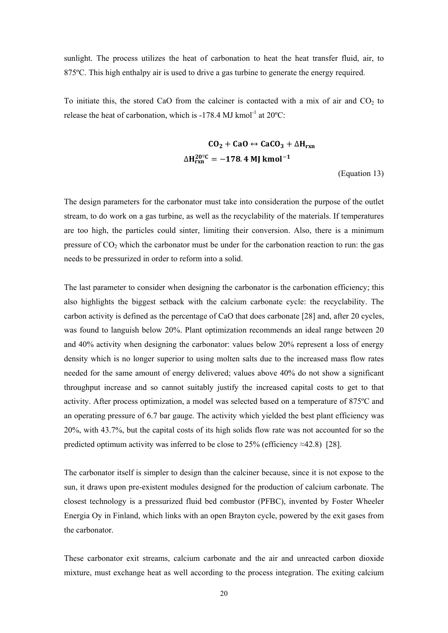sunlight. The process utilizes the heat of carbonation to heat the heat transfer fluid, air, to 875°C. This high enthalpy air is used to drive a gas turbine to generate the energy required.

To initiate this, the stored CaO from the calciner is contacted with a mix of air and  $CO<sub>2</sub>$  to release the heat of carbonation, which is -178.4 MJ kmol<sup>-1</sup> at  $20^{\circ}$ C:

> $CO_2 + CaO \leftrightarrow CaCO_3 + \Delta H_{rxn}$  $\Delta H_{rxn}^{20\degree C} = -178.4 \text{ MJ kmol}^{-1}$

> > (Equation 13)

The design parameters for the carbonator must take into consideration the purpose of the outlet stream, to do work on a gas turbine, as well as the recyclability of the materials. If temperatures are too high, the particles could sinter, limiting their conversion. Also, there is a minimum pressure of  $CO<sub>2</sub>$  which the carbonator must be under for the carbonation reaction to run: the gas needs to be pressurized in order to reform into a solid.

The last parameter to consider when designing the carbonator is the carbonation efficiency; this also highlights the biggest setback with the calcium carbonate cycle: the recyclability. The carbon activity is defined as the percentage of CaO that does carbonate [28] and, after 20 cycles, was found to languish below 20%. Plant optimization recommends an ideal range between 20 and 40% activity when designing the carbonator: values below 20% represent a loss of energy density which is no longer superior to using molten salts due to the increased mass flow rates needed for the same amount of energy delivered; values above 40% do not show a significant throughput increase and so cannot suitably justify the increased capital costs to get to that activity. After process optimization, a model was selected based on a temperature of 875ºC and an operating pressure of 6.7 bar gauge. The activity which yielded the best plant efficiency was 20%, with 43.7%, but the capital costs of its high solids flow rate was not accounted for so the predicted optimum activity was inferred to be close to 25% (efficiency  $\approx$ 42.8) [28].

The carbonator itself is simpler to design than the calciner because, since it is not expose to the sun, it draws upon pre-existent modules designed for the production of calcium carbonate. The closest technology is a pressurized fluid bed combustor (PFBC), invented by Foster Wheeler Energia Oy in Finland, which links with an open Brayton cycle, powered by the exit gases from the carbonator.

These carbonator exit streams, calcium carbonate and the air and unreacted carbon dioxide mixture, must exchange heat as well according to the process integration. The exiting calcium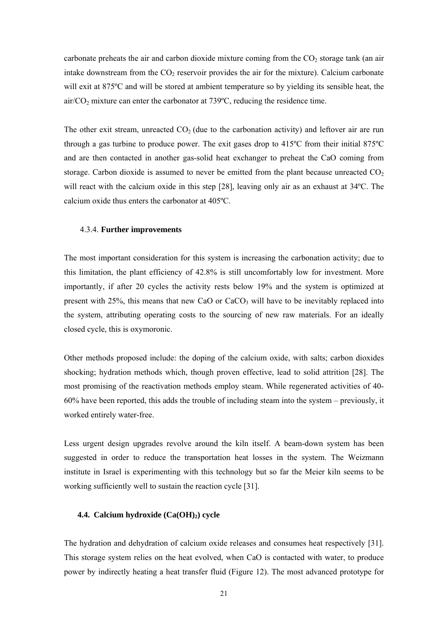carbonate preheats the air and carbon dioxide mixture coming from the  $CO<sub>2</sub>$  storage tank (an air intake downstream from the  $CO<sub>2</sub>$  reservoir provides the air for the mixture). Calcium carbonate will exit at 875ºC and will be stored at ambient temperature so by yielding its sensible heat, the  $air/CO<sub>2</sub> mixture can enter the carbonator at 739°C, reducing the residence time.$ 

The other exit stream, unreacted  $CO<sub>2</sub>$  (due to the carbonation activity) and leftover air are run through a gas turbine to produce power. The exit gases drop to 415ºC from their initial 875ºC and are then contacted in another gas-solid heat exchanger to preheat the CaO coming from storage. Carbon dioxide is assumed to never be emitted from the plant because unreacted  $CO<sub>2</sub>$ will react with the calcium oxide in this step [28], leaving only air as an exhaust at 34 °C. The calcium oxide thus enters the carbonator at 405ºC.

#### 4.3.4. **Further improvements**

The most important consideration for this system is increasing the carbonation activity; due to this limitation, the plant efficiency of 42.8% is still uncomfortably low for investment. More importantly, if after 20 cycles the activity rests below 19% and the system is optimized at present with  $25\%$ , this means that new CaO or CaCO<sub>3</sub> will have to be inevitably replaced into the system, attributing operating costs to the sourcing of new raw materials. For an ideally closed cycle, this is oxymoronic.

Other methods proposed include: the doping of the calcium oxide, with salts; carbon dioxides shocking; hydration methods which, though proven effective, lead to solid attrition [28]. The most promising of the reactivation methods employ steam. While regenerated activities of 40- 60% have been reported, this adds the trouble of including steam into the system – previously, it worked entirely water-free.

Less urgent design upgrades revolve around the kiln itself. A beam-down system has been suggested in order to reduce the transportation heat losses in the system. The Weizmann institute in Israel is experimenting with this technology but so far the Meier kiln seems to be working sufficiently well to sustain the reaction cycle [31].

# **4.4.** Calcium hydroxide (Ca(OH)<sub>2</sub>) cycle

The hydration and dehydration of calcium oxide releases and consumes heat respectively [31]. This storage system relies on the heat evolved, when CaO is contacted with water, to produce power by indirectly heating a heat transfer fluid (Figure 12). The most advanced prototype for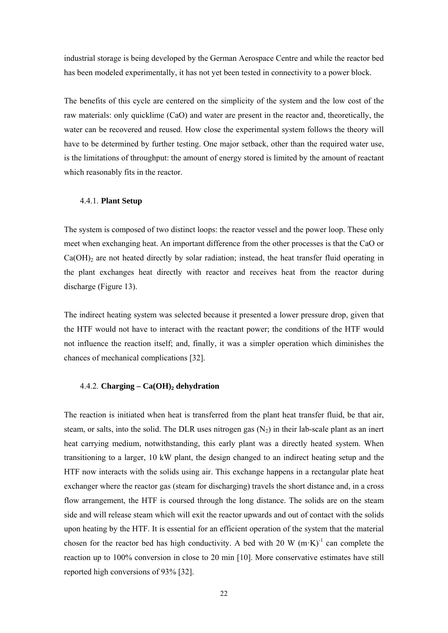industrial storage is being developed by the German Aerospace Centre and while the reactor bed has been modeled experimentally, it has not yet been tested in connectivity to a power block.

The benefits of this cycle are centered on the simplicity of the system and the low cost of the raw materials: only quicklime (CaO) and water are present in the reactor and, theoretically, the water can be recovered and reused. How close the experimental system follows the theory will have to be determined by further testing. One major setback, other than the required water use, is the limitations of throughput: the amount of energy stored is limited by the amount of reactant which reasonably fits in the reactor.

## 4.4.1. **Plant Setup**

The system is composed of two distinct loops: the reactor vessel and the power loop. These only meet when exchanging heat. An important difference from the other processes is that the CaO or Ca(OH)<sub>2</sub> are not heated directly by solar radiation; instead, the heat transfer fluid operating in the plant exchanges heat directly with reactor and receives heat from the reactor during discharge (Figure 13).

The indirect heating system was selected because it presented a lower pressure drop, given that the HTF would not have to interact with the reactant power; the conditions of the HTF would not influence the reaction itself; and, finally, it was a simpler operation which diminishes the chances of mechanical complications [32].

#### 4.4.2. **Charging – Ca(OH)2 dehydration**

The reaction is initiated when heat is transferred from the plant heat transfer fluid, be that air, steam, or salts, into the solid. The DLR uses nitrogen gas  $(N_2)$  in their lab-scale plant as an inert heat carrying medium, notwithstanding, this early plant was a directly heated system. When transitioning to a larger, 10 kW plant, the design changed to an indirect heating setup and the HTF now interacts with the solids using air. This exchange happens in a rectangular plate heat exchanger where the reactor gas (steam for discharging) travels the short distance and, in a cross flow arrangement, the HTF is coursed through the long distance. The solids are on the steam side and will release steam which will exit the reactor upwards and out of contact with the solids upon heating by the HTF. It is essential for an efficient operation of the system that the material chosen for the reactor bed has high conductivity. A bed with 20 W  $(m \cdot K)^{-1}$  can complete the reaction up to 100% conversion in close to 20 min [10]. More conservative estimates have still reported high conversions of 93% [32].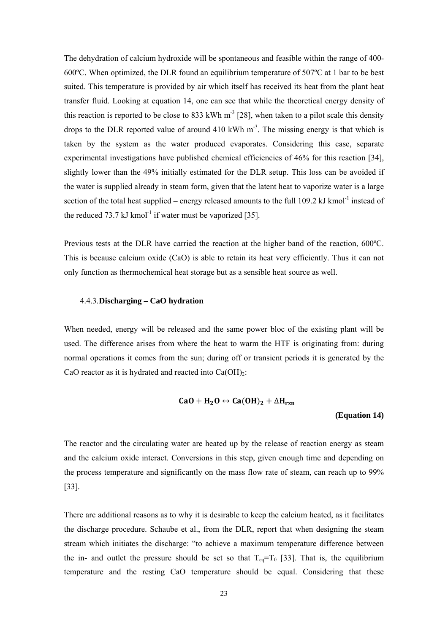The dehydration of calcium hydroxide will be spontaneous and feasible within the range of 400- 600ºC. When optimized, the DLR found an equilibrium temperature of 507ºC at 1 bar to be best suited. This temperature is provided by air which itself has received its heat from the plant heat transfer fluid. Looking at equation 14, one can see that while the theoretical energy density of this reaction is reported to be close to 833 kWh  $m<sup>3</sup>$  [28], when taken to a pilot scale this density drops to the DLR reported value of around 410 kWh  $m<sup>-3</sup>$ . The missing energy is that which is taken by the system as the water produced evaporates. Considering this case, separate experimental investigations have published chemical efficiencies of 46% for this reaction [34], slightly lower than the 49% initially estimated for the DLR setup. This loss can be avoided if the water is supplied already in steam form, given that the latent heat to vaporize water is a large section of the total heat supplied – energy released amounts to the full  $109.2 \text{ kJ kmol}^{-1}$  instead of the reduced 73.7 kJ kmol<sup>-1</sup> if water must be vaporized [35].

Previous tests at the DLR have carried the reaction at the higher band of the reaction, 600ºC. This is because calcium oxide (CaO) is able to retain its heat very efficiently. Thus it can not only function as thermochemical heat storage but as a sensible heat source as well.

## 4.4.3.**Discharging – CaO hydration**

When needed, energy will be released and the same power bloc of the existing plant will be used. The difference arises from where the heat to warm the HTF is originating from: during normal operations it comes from the sun; during off or transient periods it is generated by the CaO reactor as it is hydrated and reacted into  $Ca(OH)<sub>2</sub>$ :

$$
CaO + H_2O \leftrightarrow Ca(OH)_2 + \Delta H_{rxn}
$$

## **(Equation 14)**

The reactor and the circulating water are heated up by the release of reaction energy as steam and the calcium oxide interact. Conversions in this step, given enough time and depending on the process temperature and significantly on the mass flow rate of steam, can reach up to 99% [33].

There are additional reasons as to why it is desirable to keep the calcium heated, as it facilitates the discharge procedure. Schaube et al., from the DLR, report that when designing the steam stream which initiates the discharge: "to achieve a maximum temperature difference between the in- and outlet the pressure should be set so that  $T_{eq}=T_0$  [33]. That is, the equilibrium temperature and the resting CaO temperature should be equal. Considering that these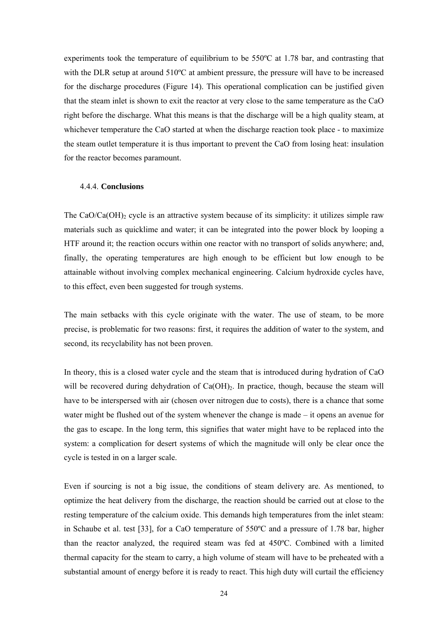experiments took the temperature of equilibrium to be 550ºC at 1.78 bar, and contrasting that with the DLR setup at around 510°C at ambient pressure, the pressure will have to be increased for the discharge procedures (Figure 14). This operational complication can be justified given that the steam inlet is shown to exit the reactor at very close to the same temperature as the CaO right before the discharge. What this means is that the discharge will be a high quality steam, at whichever temperature the CaO started at when the discharge reaction took place - to maximize the steam outlet temperature it is thus important to prevent the CaO from losing heat: insulation for the reactor becomes paramount.

## 4.4.4. **Conclusions**

The CaO/Ca(OH)<sub>2</sub> cycle is an attractive system because of its simplicity: it utilizes simple raw materials such as quicklime and water; it can be integrated into the power block by looping a HTF around it; the reaction occurs within one reactor with no transport of solids anywhere; and, finally, the operating temperatures are high enough to be efficient but low enough to be attainable without involving complex mechanical engineering. Calcium hydroxide cycles have, to this effect, even been suggested for trough systems.

The main setbacks with this cycle originate with the water. The use of steam, to be more precise, is problematic for two reasons: first, it requires the addition of water to the system, and second, its recyclability has not been proven.

In theory, this is a closed water cycle and the steam that is introduced during hydration of CaO will be recovered during dehydration of  $Ca(OH)_2$ . In practice, though, because the steam will have to be interspersed with air (chosen over nitrogen due to costs), there is a chance that some water might be flushed out of the system whenever the change is made – it opens an avenue for the gas to escape. In the long term, this signifies that water might have to be replaced into the system: a complication for desert systems of which the magnitude will only be clear once the cycle is tested in on a larger scale.

Even if sourcing is not a big issue, the conditions of steam delivery are. As mentioned, to optimize the heat delivery from the discharge, the reaction should be carried out at close to the resting temperature of the calcium oxide. This demands high temperatures from the inlet steam: in Schaube et al. test [33], for a CaO temperature of 550ºC and a pressure of 1.78 bar, higher than the reactor analyzed, the required steam was fed at 450ºC. Combined with a limited thermal capacity for the steam to carry, a high volume of steam will have to be preheated with a substantial amount of energy before it is ready to react. This high duty will curtail the efficiency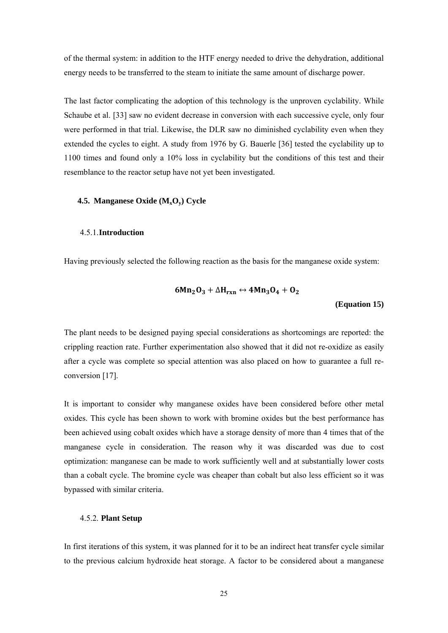of the thermal system: in addition to the HTF energy needed to drive the dehydration, additional energy needs to be transferred to the steam to initiate the same amount of discharge power.

The last factor complicating the adoption of this technology is the unproven cyclability. While Schaube et al. [33] saw no evident decrease in conversion with each successive cycle, only four were performed in that trial. Likewise, the DLR saw no diminished cyclability even when they extended the cycles to eight. A study from 1976 by G. Bauerle [36] tested the cyclability up to 1100 times and found only a 10% loss in cyclability but the conditions of this test and their resemblance to the reactor setup have not yet been investigated.

## **4.5. Manganese Oxide (MxOy) Cycle**

#### 4.5.1.**Introduction**

Having previously selected the following reaction as the basis for the manganese oxide system:

$$
6Mn_2O_3 + \Delta H_{rxn} \leftrightarrow 4Mn_3O_4 + O_2
$$

## **(Equation 15)**

The plant needs to be designed paying special considerations as shortcomings are reported: the crippling reaction rate. Further experimentation also showed that it did not re-oxidize as easily after a cycle was complete so special attention was also placed on how to guarantee a full reconversion [17].

It is important to consider why manganese oxides have been considered before other metal oxides. This cycle has been shown to work with bromine oxides but the best performance has been achieved using cobalt oxides which have a storage density of more than 4 times that of the manganese cycle in consideration. The reason why it was discarded was due to cost optimization: manganese can be made to work sufficiently well and at substantially lower costs than a cobalt cycle. The bromine cycle was cheaper than cobalt but also less efficient so it was bypassed with similar criteria.

## 4.5.2. **Plant Setup**

In first iterations of this system, it was planned for it to be an indirect heat transfer cycle similar to the previous calcium hydroxide heat storage. A factor to be considered about a manganese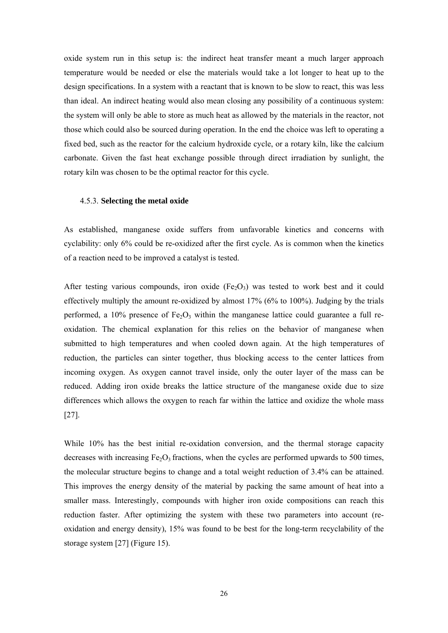oxide system run in this setup is: the indirect heat transfer meant a much larger approach temperature would be needed or else the materials would take a lot longer to heat up to the design specifications. In a system with a reactant that is known to be slow to react, this was less than ideal. An indirect heating would also mean closing any possibility of a continuous system: the system will only be able to store as much heat as allowed by the materials in the reactor, not those which could also be sourced during operation. In the end the choice was left to operating a fixed bed, such as the reactor for the calcium hydroxide cycle, or a rotary kiln, like the calcium carbonate. Given the fast heat exchange possible through direct irradiation by sunlight, the rotary kiln was chosen to be the optimal reactor for this cycle.

#### 4.5.3. **Selecting the metal oxide**

As established, manganese oxide suffers from unfavorable kinetics and concerns with cyclability: only 6% could be re-oxidized after the first cycle. As is common when the kinetics of a reaction need to be improved a catalyst is tested.

After testing various compounds, iron oxide  $(Fe_2O_3)$  was tested to work best and it could effectively multiply the amount re-oxidized by almost 17% (6% to 100%). Judging by the trials performed, a 10% presence of  $Fe<sub>2</sub>O<sub>3</sub>$  within the manganese lattice could guarantee a full reoxidation. The chemical explanation for this relies on the behavior of manganese when submitted to high temperatures and when cooled down again. At the high temperatures of reduction, the particles can sinter together, thus blocking access to the center lattices from incoming oxygen. As oxygen cannot travel inside, only the outer layer of the mass can be reduced. Adding iron oxide breaks the lattice structure of the manganese oxide due to size differences which allows the oxygen to reach far within the lattice and oxidize the whole mass [27].

While 10% has the best initial re-oxidation conversion, and the thermal storage capacity decreases with increasing  $Fe<sub>2</sub>O<sub>3</sub>$  fractions, when the cycles are performed upwards to 500 times, the molecular structure begins to change and a total weight reduction of 3.4% can be attained. This improves the energy density of the material by packing the same amount of heat into a smaller mass. Interestingly, compounds with higher iron oxide compositions can reach this reduction faster. After optimizing the system with these two parameters into account (reoxidation and energy density), 15% was found to be best for the long-term recyclability of the storage system [27] (Figure 15).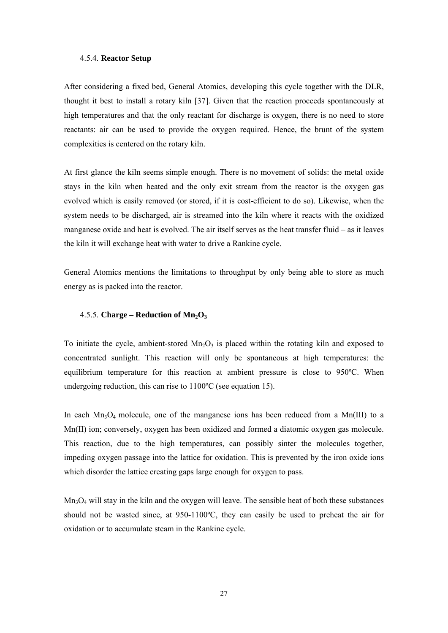## 4.5.4. **Reactor Setup**

After considering a fixed bed, General Atomics, developing this cycle together with the DLR, thought it best to install a rotary kiln [37]. Given that the reaction proceeds spontaneously at high temperatures and that the only reactant for discharge is oxygen, there is no need to store reactants: air can be used to provide the oxygen required. Hence, the brunt of the system complexities is centered on the rotary kiln.

At first glance the kiln seems simple enough. There is no movement of solids: the metal oxide stays in the kiln when heated and the only exit stream from the reactor is the oxygen gas evolved which is easily removed (or stored, if it is cost-efficient to do so). Likewise, when the system needs to be discharged, air is streamed into the kiln where it reacts with the oxidized manganese oxide and heat is evolved. The air itself serves as the heat transfer fluid – as it leaves the kiln it will exchange heat with water to drive a Rankine cycle.

General Atomics mentions the limitations to throughput by only being able to store as much energy as is packed into the reactor.

## 4.5.5. **Charge – Reduction of**  $Mn_2O_3$

To initiate the cycle, ambient-stored  $Mn<sub>2</sub>O<sub>3</sub>$  is placed within the rotating kiln and exposed to concentrated sunlight. This reaction will only be spontaneous at high temperatures: the equilibrium temperature for this reaction at ambient pressure is close to 950ºC. When undergoing reduction, this can rise to 1100ºC (see equation 15).

In each  $Mn_3O_4$  molecule, one of the manganese ions has been reduced from a Mn(III) to a Mn(II) ion; conversely, oxygen has been oxidized and formed a diatomic oxygen gas molecule. This reaction, due to the high temperatures, can possibly sinter the molecules together, impeding oxygen passage into the lattice for oxidation. This is prevented by the iron oxide ions which disorder the lattice creating gaps large enough for oxygen to pass.

Mn3O4 will stay in the kiln and the oxygen will leave. The sensible heat of both these substances should not be wasted since, at 950-1100ºC, they can easily be used to preheat the air for oxidation or to accumulate steam in the Rankine cycle.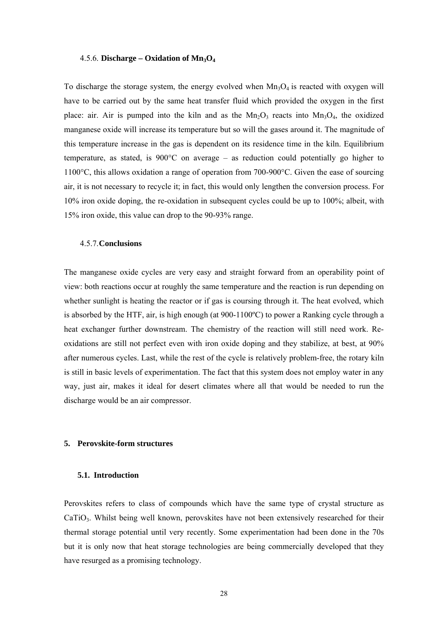#### 4.5.6. **Discharge – Oxidation of Mn3O4**

To discharge the storage system, the energy evolved when  $Mn_3O_4$  is reacted with oxygen will have to be carried out by the same heat transfer fluid which provided the oxygen in the first place: air. Air is pumped into the kiln and as the  $Mn_2O_3$  reacts into  $Mn_3O_4$ , the oxidized manganese oxide will increase its temperature but so will the gases around it. The magnitude of this temperature increase in the gas is dependent on its residence time in the kiln. Equilibrium temperature, as stated, is  $900^{\circ}$ C on average – as reduction could potentially go higher to 1100°C, this allows oxidation a range of operation from 700-900°C. Given the ease of sourcing air, it is not necessary to recycle it; in fact, this would only lengthen the conversion process. For 10% iron oxide doping, the re-oxidation in subsequent cycles could be up to 100%; albeit, with 15% iron oxide, this value can drop to the 90-93% range.

## 4.5.7.**Conclusions**

The manganese oxide cycles are very easy and straight forward from an operability point of view: both reactions occur at roughly the same temperature and the reaction is run depending on whether sunlight is heating the reactor or if gas is coursing through it. The heat evolved, which is absorbed by the HTF, air, is high enough (at 900-1100ºC) to power a Ranking cycle through a heat exchanger further downstream. The chemistry of the reaction will still need work. Reoxidations are still not perfect even with iron oxide doping and they stabilize, at best, at 90% after numerous cycles. Last, while the rest of the cycle is relatively problem-free, the rotary kiln is still in basic levels of experimentation. The fact that this system does not employ water in any way, just air, makes it ideal for desert climates where all that would be needed to run the discharge would be an air compressor.

## **5. Perovskite-form structures**

## **5.1. Introduction**

Perovskites refers to class of compounds which have the same type of crystal structure as CaTiO<sub>3</sub>. Whilst being well known, perovskites have not been extensively researched for their thermal storage potential until very recently. Some experimentation had been done in the 70s but it is only now that heat storage technologies are being commercially developed that they have resurged as a promising technology.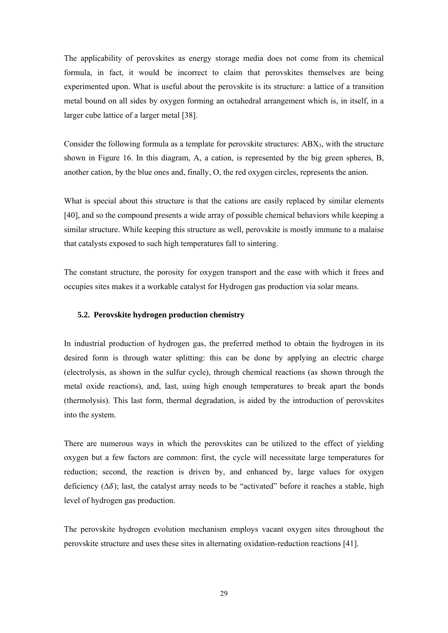The applicability of perovskites as energy storage media does not come from its chemical formula, in fact, it would be incorrect to claim that perovskites themselves are being experimented upon. What is useful about the perovskite is its structure: a lattice of a transition metal bound on all sides by oxygen forming an octahedral arrangement which is, in itself, in a larger cube lattice of a larger metal [38].

Consider the following formula as a template for perovskite structures: ABX<sub>3</sub>, with the structure shown in Figure 16. In this diagram, A, a cation, is represented by the big green spheres, B, another cation, by the blue ones and, finally, O, the red oxygen circles, represents the anion.

What is special about this structure is that the cations are easily replaced by similar elements [40], and so the compound presents a wide array of possible chemical behaviors while keeping a similar structure. While keeping this structure as well, perovskite is mostly immune to a malaise that catalysts exposed to such high temperatures fall to sintering.

The constant structure, the porosity for oxygen transport and the ease with which it frees and occupies sites makes it a workable catalyst for Hydrogen gas production via solar means.

## **5.2. Perovskite hydrogen production chemistry**

In industrial production of hydrogen gas, the preferred method to obtain the hydrogen in its desired form is through water splitting: this can be done by applying an electric charge (electrolysis, as shown in the sulfur cycle), through chemical reactions (as shown through the metal oxide reactions), and, last, using high enough temperatures to break apart the bonds (thermolysis). This last form, thermal degradation, is aided by the introduction of perovskites into the system.

There are numerous ways in which the perovskites can be utilized to the effect of yielding oxygen but a few factors are common: first, the cycle will necessitate large temperatures for reduction; second, the reaction is driven by, and enhanced by, large values for oxygen deficiency ( $\Delta\delta$ ); last, the catalyst array needs to be "activated" before it reaches a stable, high level of hydrogen gas production.

The perovskite hydrogen evolution mechanism employs vacant oxygen sites throughout the perovskite structure and uses these sites in alternating oxidation-reduction reactions [41].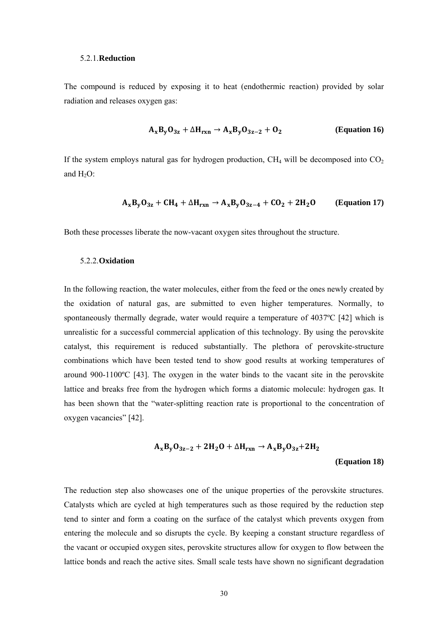## 5.2.1.**Reduction**

The compound is reduced by exposing it to heat (endothermic reaction) provided by solar radiation and releases oxygen gas:

$$
A_xB_yO_{3z} + \Delta H_{rxn} \rightarrow A_xB_yO_{3z-2} + O_2
$$
 (Equation 16)

If the system employs natural gas for hydrogen production,  $CH_4$  will be decomposed into  $CO_2$ and  $H_2O$ :

$$
A_xB_yO_{3z} + CH_4 + \Delta H_{rxn} \rightarrow A_xB_yO_{3z-4} + CO_2 + 2H_2O
$$
 (Equation 17)

Both these processes liberate the now-vacant oxygen sites throughout the structure.

## 5.2.2.**Oxidation**

In the following reaction, the water molecules, either from the feed or the ones newly created by the oxidation of natural gas, are submitted to even higher temperatures. Normally, to spontaneously thermally degrade, water would require a temperature of 4037ºC [42] which is unrealistic for a successful commercial application of this technology. By using the perovskite catalyst, this requirement is reduced substantially. The plethora of perovskite-structure combinations which have been tested tend to show good results at working temperatures of around 900-1100ºC [43]. The oxygen in the water binds to the vacant site in the perovskite lattice and breaks free from the hydrogen which forms a diatomic molecule: hydrogen gas. It has been shown that the "water-splitting reaction rate is proportional to the concentration of oxygen vacancies" [42].

$$
A_xB_yO_{3z-2} + 2H_2O + \Delta H_{rxn} \rightarrow A_xB_yO_{3z} + 2H_2
$$

## **(Equation 18)**

The reduction step also showcases one of the unique properties of the perovskite structures. Catalysts which are cycled at high temperatures such as those required by the reduction step tend to sinter and form a coating on the surface of the catalyst which prevents oxygen from entering the molecule and so disrupts the cycle. By keeping a constant structure regardless of the vacant or occupied oxygen sites, perovskite structures allow for oxygen to flow between the lattice bonds and reach the active sites. Small scale tests have shown no significant degradation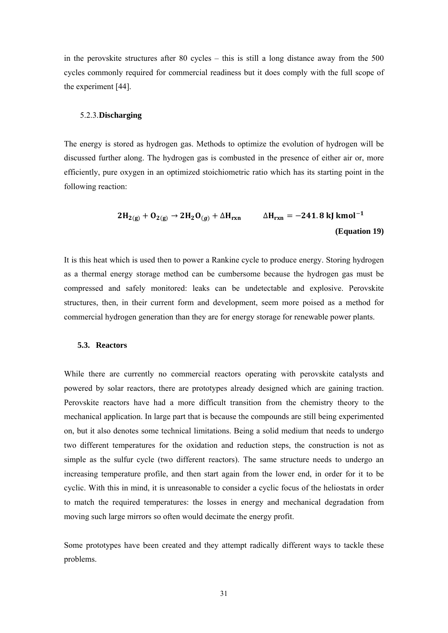in the perovskite structures after 80 cycles – this is still a long distance away from the 500 cycles commonly required for commercial readiness but it does comply with the full scope of the experiment [44].

#### 5.2.3.**Discharging**

The energy is stored as hydrogen gas. Methods to optimize the evolution of hydrogen will be discussed further along. The hydrogen gas is combusted in the presence of either air or, more efficiently, pure oxygen in an optimized stoichiometric ratio which has its starting point in the following reaction:

$$
2H_{2(g)} + O_{2(g)} \rightarrow 2H_2O_{(g)} + \Delta H_{rxn} \qquad \Delta H_{rxn} = -241.8 \text{ kJ kmol}^{-1}
$$
\n(Equation 19)

It is this heat which is used then to power a Rankine cycle to produce energy. Storing hydrogen as a thermal energy storage method can be cumbersome because the hydrogen gas must be compressed and safely monitored: leaks can be undetectable and explosive. Perovskite structures, then, in their current form and development, seem more poised as a method for commercial hydrogen generation than they are for energy storage for renewable power plants.

## **5.3. Reactors**

While there are currently no commercial reactors operating with perovskite catalysts and powered by solar reactors, there are prototypes already designed which are gaining traction. Perovskite reactors have had a more difficult transition from the chemistry theory to the mechanical application. In large part that is because the compounds are still being experimented on, but it also denotes some technical limitations. Being a solid medium that needs to undergo two different temperatures for the oxidation and reduction steps, the construction is not as simple as the sulfur cycle (two different reactors). The same structure needs to undergo an increasing temperature profile, and then start again from the lower end, in order for it to be cyclic. With this in mind, it is unreasonable to consider a cyclic focus of the heliostats in order to match the required temperatures: the losses in energy and mechanical degradation from moving such large mirrors so often would decimate the energy profit.

Some prototypes have been created and they attempt radically different ways to tackle these problems.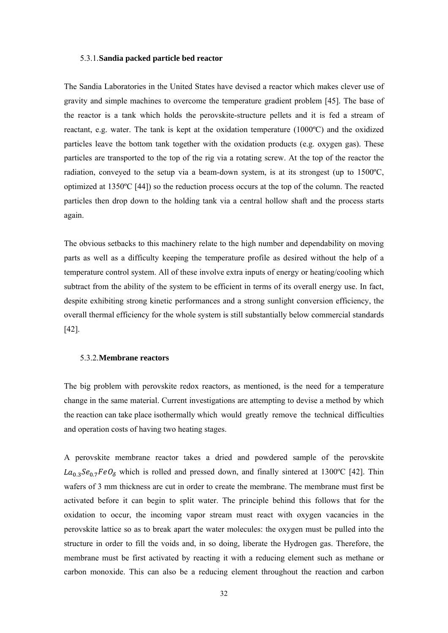## 5.3.1.**Sandia packed particle bed reactor**

The Sandia Laboratories in the United States have devised a reactor which makes clever use of gravity and simple machines to overcome the temperature gradient problem [45]. The base of the reactor is a tank which holds the perovskite-structure pellets and it is fed a stream of reactant, e.g. water. The tank is kept at the oxidation temperature (1000ºC) and the oxidized particles leave the bottom tank together with the oxidation products (e.g. oxygen gas). These particles are transported to the top of the rig via a rotating screw. At the top of the reactor the radiation, conveyed to the setup via a beam-down system, is at its strongest (up to 1500ºC, optimized at 1350ºC [44]) so the reduction process occurs at the top of the column. The reacted particles then drop down to the holding tank via a central hollow shaft and the process starts again.

The obvious setbacks to this machinery relate to the high number and dependability on moving parts as well as a difficulty keeping the temperature profile as desired without the help of a temperature control system. All of these involve extra inputs of energy or heating/cooling which subtract from the ability of the system to be efficient in terms of its overall energy use. In fact, despite exhibiting strong kinetic performances and a strong sunlight conversion efficiency, the overall thermal efficiency for the whole system is still substantially below commercial standards [42].

# 5.3.2.**Membrane reactors**

The big problem with perovskite redox reactors, as mentioned, is the need for a temperature change in the same material. Current investigations are attempting to devise a method by which the reaction can take place isothermally which would greatly remove the technical difficulties and operation costs of having two heating stages.

A perovskite membrane reactor takes a dried and powdered sample of the perovskite  $La_{0.3}Se_{0.7}FeO_6$  which is rolled and pressed down, and finally sintered at 1300°C [42]. Thin wafers of 3 mm thickness are cut in order to create the membrane. The membrane must first be activated before it can begin to split water. The principle behind this follows that for the oxidation to occur, the incoming vapor stream must react with oxygen vacancies in the perovskite lattice so as to break apart the water molecules: the oxygen must be pulled into the structure in order to fill the voids and, in so doing, liberate the Hydrogen gas. Therefore, the membrane must be first activated by reacting it with a reducing element such as methane or carbon monoxide. This can also be a reducing element throughout the reaction and carbon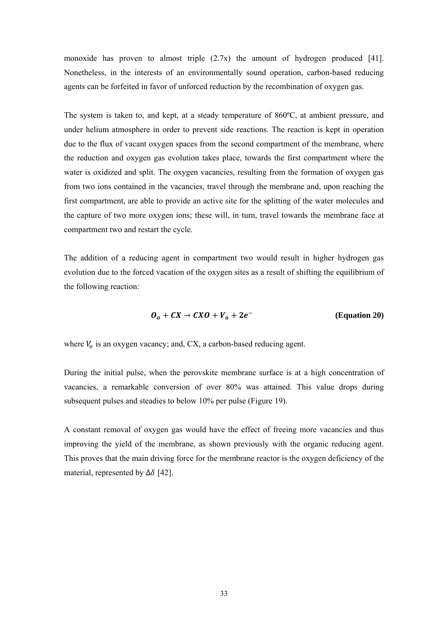monoxide has proven to almost triple (2.7x) the amount of hydrogen produced [41]. Nonetheless, in the interests of an environmentally sound operation, carbon-based reducing agents can be forfeited in favor of unforced reduction by the recombination of oxygen gas.

The system is taken to, and kept, at a steady temperature of 860ºC, at ambient pressure, and under helium atmosphere in order to prevent side reactions. The reaction is kept in operation due to the flux of vacant oxygen spaces from the second compartment of the membrane, where the reduction and oxygen gas evolution takes place, towards the first compartment where the water is oxidized and split. The oxygen vacancies, resulting from the formation of oxygen gas from two ions contained in the vacancies, travel through the membrane and, upon reaching the first compartment, are able to provide an active site for the splitting of the water molecules and the capture of two more oxygen ions; these will, in turn, travel towards the membrane face at compartment two and restart the cycle.

The addition of a reducing agent in compartment two would result in higher hydrogen gas evolution due to the forced vacation of the oxygen sites as a result of shifting the equilibrium of the following reaction:

$$
O_o + CX \rightarrow CXO + V_o + 2e^-
$$
 (Equation 20)

where  $V_0$  is an oxygen vacancy; and, CX, a carbon-based reducing agent.

During the initial pulse, when the perovskite membrane surface is at a high concentration of vacancies, a remarkable conversion of over 80% was attained. This value drops during subsequent pulses and steadies to below 10% per pulse (Figure 19).

A constant removal of oxygen gas would have the effect of freeing more vacancies and thus improving the yield of the membrane, as shown previously with the organic reducing agent. This proves that the main driving force for the membrane reactor is the oxygen deficiency of the material, represented by  $\Delta\delta$  [42].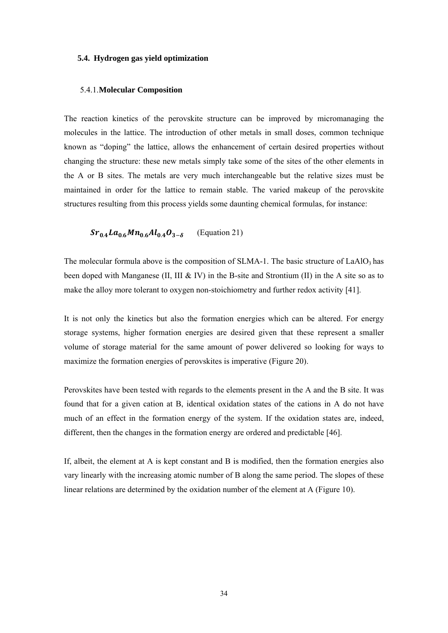## **5.4. Hydrogen gas yield optimization**

## 5.4.1.**Molecular Composition**

The reaction kinetics of the perovskite structure can be improved by micromanaging the molecules in the lattice. The introduction of other metals in small doses, common technique known as "doping" the lattice, allows the enhancement of certain desired properties without changing the structure: these new metals simply take some of the sites of the other elements in the A or B sites. The metals are very much interchangeable but the relative sizes must be maintained in order for the lattice to remain stable. The varied makeup of the perovskite structures resulting from this process yields some daunting chemical formulas, for instance:

## $Sr_{0.4}La_{0.6}Mn_{0.6}Al_{0.4}O_{3-\delta}$  (Equation 21)

The molecular formula above is the composition of SLMA-1. The basic structure of  $LaAlO<sub>3</sub>$  has been doped with Manganese (II, III  $\&$  IV) in the B-site and Strontium (II) in the A site so as to make the alloy more tolerant to oxygen non-stoichiometry and further redox activity [41].

It is not only the kinetics but also the formation energies which can be altered. For energy storage systems, higher formation energies are desired given that these represent a smaller volume of storage material for the same amount of power delivered so looking for ways to maximize the formation energies of perovskites is imperative (Figure 20).

Perovskites have been tested with regards to the elements present in the A and the B site. It was found that for a given cation at B, identical oxidation states of the cations in A do not have much of an effect in the formation energy of the system. If the oxidation states are, indeed, different, then the changes in the formation energy are ordered and predictable [46].

If, albeit, the element at A is kept constant and B is modified, then the formation energies also vary linearly with the increasing atomic number of B along the same period. The slopes of these linear relations are determined by the oxidation number of the element at A (Figure 10).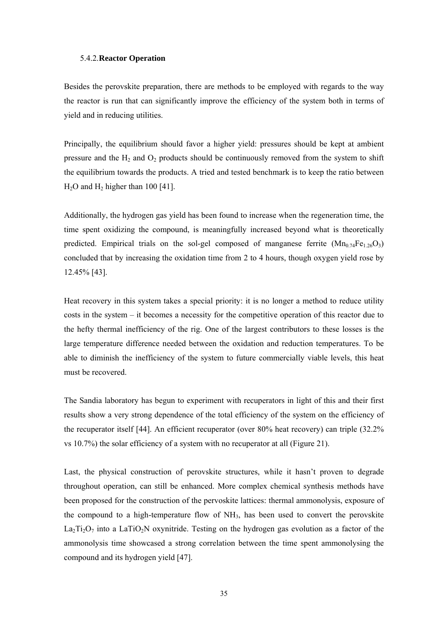## 5.4.2.**Reactor Operation**

Besides the perovskite preparation, there are methods to be employed with regards to the way the reactor is run that can significantly improve the efficiency of the system both in terms of yield and in reducing utilities.

Principally, the equilibrium should favor a higher yield: pressures should be kept at ambient pressure and the  $H_2$  and  $O_2$  products should be continuously removed from the system to shift the equilibrium towards the products. A tried and tested benchmark is to keep the ratio between  $H<sub>2</sub>O$  and  $H<sub>2</sub>$  higher than 100 [41].

Additionally, the hydrogen gas yield has been found to increase when the regeneration time, the time spent oxidizing the compound, is meaningfully increased beyond what is theoretically predicted. Empirical trials on the sol-gel composed of manganese ferrite  $(Mn<sub>0.74</sub>Fe<sub>1.26</sub>O<sub>3</sub>)$ concluded that by increasing the oxidation time from 2 to 4 hours, though oxygen yield rose by 12.45% [43].

Heat recovery in this system takes a special priority: it is no longer a method to reduce utility costs in the system – it becomes a necessity for the competitive operation of this reactor due to the hefty thermal inefficiency of the rig. One of the largest contributors to these losses is the large temperature difference needed between the oxidation and reduction temperatures. To be able to diminish the inefficiency of the system to future commercially viable levels, this heat must be recovered.

The Sandia laboratory has begun to experiment with recuperators in light of this and their first results show a very strong dependence of the total efficiency of the system on the efficiency of the recuperator itself [44]. An efficient recuperator (over 80% heat recovery) can triple (32.2% vs  $10.7\%$ ) the solar efficiency of a system with no recuperator at all (Figure 21).

Last, the physical construction of perovskite structures, while it hasn't proven to degrade throughout operation, can still be enhanced. More complex chemical synthesis methods have been proposed for the construction of the pervoskite lattices: thermal ammonolysis, exposure of the compound to a high-temperature flow of  $NH_3$ , has been used to convert the perovskite  $La_2Ti_2O_7$  into a LaTiO<sub>2</sub>N oxynitride. Testing on the hydrogen gas evolution as a factor of the ammonolysis time showcased a strong correlation between the time spent ammonolysing the compound and its hydrogen yield [47].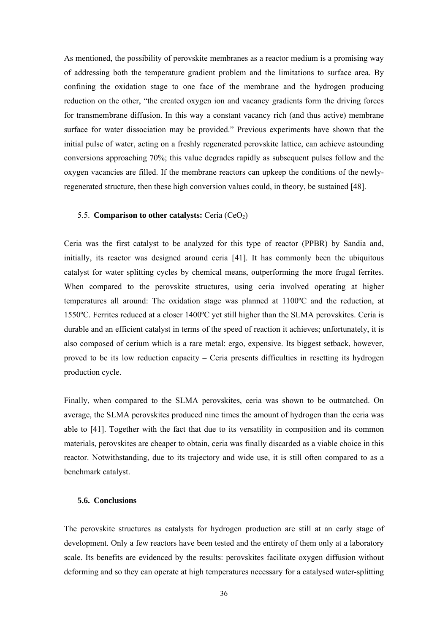As mentioned, the possibility of perovskite membranes as a reactor medium is a promising way of addressing both the temperature gradient problem and the limitations to surface area. By confining the oxidation stage to one face of the membrane and the hydrogen producing reduction on the other, "the created oxygen ion and vacancy gradients form the driving forces for transmembrane diffusion. In this way a constant vacancy rich (and thus active) membrane surface for water dissociation may be provided." Previous experiments have shown that the initial pulse of water, acting on a freshly regenerated perovskite lattice, can achieve astounding conversions approaching 70%; this value degrades rapidly as subsequent pulses follow and the oxygen vacancies are filled. If the membrane reactors can upkeep the conditions of the newlyregenerated structure, then these high conversion values could, in theory, be sustained [48].

## 5.5. **Comparison to other catalysts:** Ceria (CeO<sub>2</sub>)

Ceria was the first catalyst to be analyzed for this type of reactor (PPBR) by Sandia and, initially, its reactor was designed around ceria [41]. It has commonly been the ubiquitous catalyst for water splitting cycles by chemical means, outperforming the more frugal ferrites. When compared to the perovskite structures, using ceria involved operating at higher temperatures all around: The oxidation stage was planned at 1100ºC and the reduction, at 1550ºC. Ferrites reduced at a closer 1400ºC yet still higher than the SLMA perovskites. Ceria is durable and an efficient catalyst in terms of the speed of reaction it achieves; unfortunately, it is also composed of cerium which is a rare metal: ergo, expensive. Its biggest setback, however, proved to be its low reduction capacity – Ceria presents difficulties in resetting its hydrogen production cycle.

Finally, when compared to the SLMA perovskites, ceria was shown to be outmatched. On average, the SLMA perovskites produced nine times the amount of hydrogen than the ceria was able to [41]. Together with the fact that due to its versatility in composition and its common materials, perovskites are cheaper to obtain, ceria was finally discarded as a viable choice in this reactor. Notwithstanding, due to its trajectory and wide use, it is still often compared to as a benchmark catalyst.

# **5.6. Conclusions**

The perovskite structures as catalysts for hydrogen production are still at an early stage of development. Only a few reactors have been tested and the entirety of them only at a laboratory scale. Its benefits are evidenced by the results: perovskites facilitate oxygen diffusion without deforming and so they can operate at high temperatures necessary for a catalysed water-splitting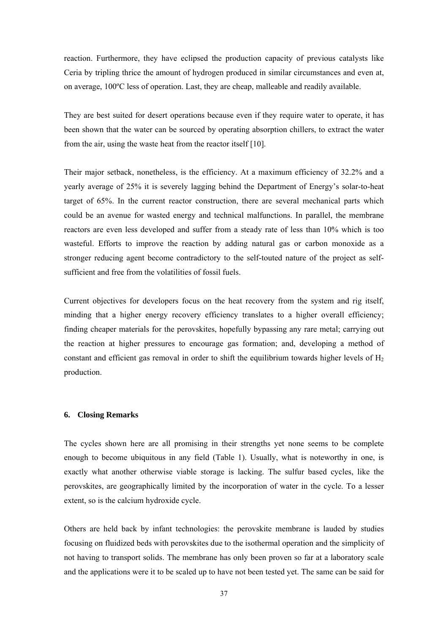reaction. Furthermore, they have eclipsed the production capacity of previous catalysts like Ceria by tripling thrice the amount of hydrogen produced in similar circumstances and even at, on average, 100ºC less of operation. Last, they are cheap, malleable and readily available.

They are best suited for desert operations because even if they require water to operate, it has been shown that the water can be sourced by operating absorption chillers, to extract the water from the air, using the waste heat from the reactor itself [10].

Their major setback, nonetheless, is the efficiency. At a maximum efficiency of 32.2% and a yearly average of 25% it is severely lagging behind the Department of Energy's solar-to-heat target of 65%. In the current reactor construction, there are several mechanical parts which could be an avenue for wasted energy and technical malfunctions. In parallel, the membrane reactors are even less developed and suffer from a steady rate of less than 10% which is too wasteful. Efforts to improve the reaction by adding natural gas or carbon monoxide as a stronger reducing agent become contradictory to the self-touted nature of the project as selfsufficient and free from the volatilities of fossil fuels.

Current objectives for developers focus on the heat recovery from the system and rig itself, minding that a higher energy recovery efficiency translates to a higher overall efficiency; finding cheaper materials for the perovskites, hopefully bypassing any rare metal; carrying out the reaction at higher pressures to encourage gas formation; and, developing a method of constant and efficient gas removal in order to shift the equilibrium towards higher levels of  $H<sub>2</sub>$ production.

# **6. Closing Remarks**

The cycles shown here are all promising in their strengths yet none seems to be complete enough to become ubiquitous in any field (Table 1). Usually, what is noteworthy in one, is exactly what another otherwise viable storage is lacking. The sulfur based cycles, like the perovskites, are geographically limited by the incorporation of water in the cycle. To a lesser extent, so is the calcium hydroxide cycle.

Others are held back by infant technologies: the perovskite membrane is lauded by studies focusing on fluidized beds with perovskites due to the isothermal operation and the simplicity of not having to transport solids. The membrane has only been proven so far at a laboratory scale and the applications were it to be scaled up to have not been tested yet. The same can be said for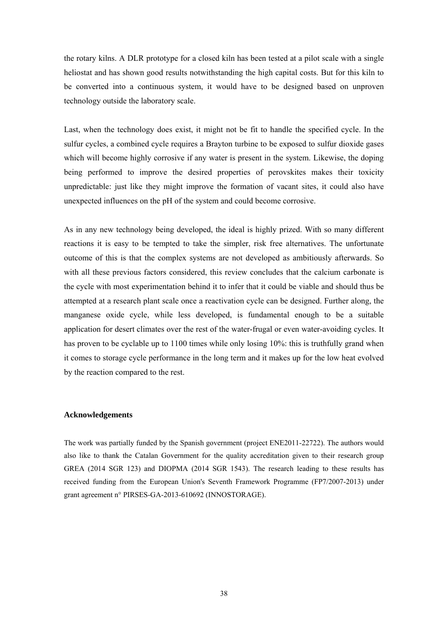the rotary kilns. A DLR prototype for a closed kiln has been tested at a pilot scale with a single heliostat and has shown good results notwithstanding the high capital costs. But for this kiln to be converted into a continuous system, it would have to be designed based on unproven technology outside the laboratory scale.

Last, when the technology does exist, it might not be fit to handle the specified cycle. In the sulfur cycles, a combined cycle requires a Brayton turbine to be exposed to sulfur dioxide gases which will become highly corrosive if any water is present in the system. Likewise, the doping being performed to improve the desired properties of perovskites makes their toxicity unpredictable: just like they might improve the formation of vacant sites, it could also have unexpected influences on the pH of the system and could become corrosive.

As in any new technology being developed, the ideal is highly prized. With so many different reactions it is easy to be tempted to take the simpler, risk free alternatives. The unfortunate outcome of this is that the complex systems are not developed as ambitiously afterwards. So with all these previous factors considered, this review concludes that the calcium carbonate is the cycle with most experimentation behind it to infer that it could be viable and should thus be attempted at a research plant scale once a reactivation cycle can be designed. Further along, the manganese oxide cycle, while less developed, is fundamental enough to be a suitable application for desert climates over the rest of the water-frugal or even water-avoiding cycles. It has proven to be cyclable up to 1100 times while only losing 10%: this is truthfully grand when it comes to storage cycle performance in the long term and it makes up for the low heat evolved by the reaction compared to the rest.

# **Acknowledgements**

The work was partially funded by the Spanish government (project ENE2011-22722). The authors would also like to thank the Catalan Government for the quality accreditation given to their research group GREA (2014 SGR 123) and DIOPMA (2014 SGR 1543). The research leading to these results has received funding from the European Union's Seventh Framework Programme (FP7/2007-2013) under grant agreement n° PIRSES-GA-2013-610692 (INNOSTORAGE).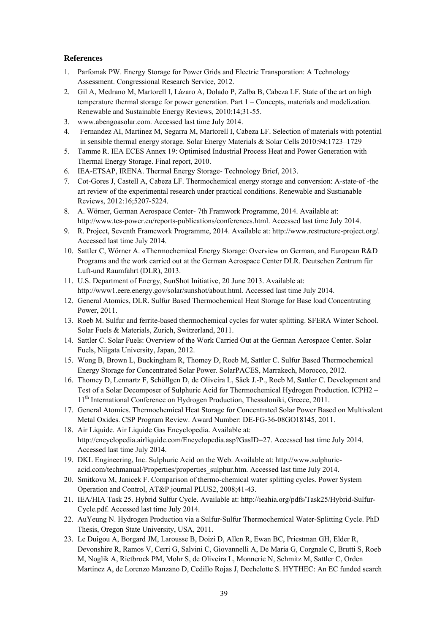# **References**

- 1. Parfomak PW. Energy Storage for Power Grids and Electric Transporation: A Technology Assessment. Congressional Research Service, 2012.
- 2. Gil A, Medrano M, Martorell I, Lázaro A, Dolado P, Zalba B, Cabeza LF. State of the art on high temperature thermal storage for power generation. Part 1 – Concepts, materials and modelization. Renewable and Sustainable Energy Reviews, 2010:14;31-55.
- 3. www.abengoasolar.com. Accessed last time July 2014.
- 4. Fernandez AI, Martinez M, Segarra M, Martorell I, Cabeza LF. Selection of materials with potential in sensible thermal energy storage. Solar Energy Materials & Solar Cells 2010:94;1723–1729
- 5. Tamme R. IEA ECES Annex 19: Optimised Industrial Process Heat and Power Generation with Thermal Energy Storage. Final report, 2010.
- 6. IEA-ETSAP, IRENA. Thermal Energy Storage- Technology Brief, 2013.
- 7. Cot-Gores J, Castell A, Cabeza LF. Thermochemical energy storage and conversion: A-state-of -the art review of the experimental research under practical conditions. Renewable and Sustianable Reviews, 2012:16;5207-5224.
- 8. A. Wörner, German Aerospace Center- 7th Framwork Programme, 2014. Available at: http://www.tcs-power.eu/reports-publications/conferences.html. Accessed last time July 2014.
- 9. R. Project, Seventh Framework Programme, 2014. Available at: http://www.restructure-project.org/. Accessed last time July 2014.
- 10. Sattler C, Wörner A. «Thermochemical Energy Storage: Overview on German, and European R&D Programs and the work carried out at the German Aerospace Center DLR. Deutschen Zentrum für Luft-und Raumfahrt (DLR), 2013.
- 11. U.S. Department of Energy, SunShot Initiative, 20 June 2013. Available at: http://www1.eere.energy.gov/solar/sunshot/about.html. Accessed last time July 2014.
- 12. General Atomics, DLR. Sulfur Based Thermochemical Heat Storage for Base load Concentrating Power, 2011.
- 13. Roeb M. Sulfur and ferrite-based thermochemical cycles for water splitting. SFERA Winter School. Solar Fuels & Materials, Zurich, Switzerland, 2011.
- 14. Sattler C. Solar Fuels: Overview of the Work Carried Out at the German Aerospace Center. Solar Fuels, Niigata University, Japan, 2012.
- 15. Wong B, Brown L, Buckingham R, Thomey D, Roeb M, Sattler C. Sulfur Based Thermochemical Energy Storage for Concentrated Solar Power. SolarPACES, Marrakech, Morocco, 2012.
- 16. Thomey D, Lennartz F, Schöllgen D, de Oliveira L, Säck J.-P., Roeb M, Sattler C. Development and Test of a Solar Decomposer of Sulphuric Acid for Thermochemical Hydrogen Production. ICPH2 – 11<sup>th</sup> International Conference on Hydrogen Production, Thessaloniki, Greece, 2011.
- 17. General Atomics. Thermochemical Heat Storage for Concentrated Solar Power Based on Multivalent Metal Oxides. CSP Program Review. Award Number: DE-FG-36-08GO18145, 2011.
- 18. Air Liquide. Air Liquide Gas Encyclopedia. Available at: http://encyclopedia.airliquide.com/Encyclopedia.asp?GasID=27. Accessed last time July 2014. Accessed last time July 2014.
- 19. DKL Engineering, Inc. Sulphuric Acid on the Web. Available at: http://www.sulphuricacid.com/techmanual/Properties/properties\_sulphur.htm. Accessed last time July 2014.
- 20. Smitkova M, Janicek F. Comparison of thermo-chemical water splitting cycles. Power System Operation and Control, AT&P journal PLUS2, 2008;41-43.
- 21. IEA/HIA Task 25. Hybrid Sulfur Cycle. Available at: http://ieahia.org/pdfs/Task25/Hybrid-Sulfur-Cycle.pdf. Accessed last time July 2014.
- 22. AuYeung N. Hydrogen Production via a Sulfur-Sulfur Thermochemical Water-Splitting Cycle. PhD Thesis, Oregon State University, USA, 2011.
- 23. Le Duigou A, Borgard JM, Larousse B, Doizi D, Allen R, Ewan BC, Priestman GH, Elder R, Devonshire R, Ramos V, Cerri G, Salvini C, Giovannelli A, De Maria G, Corgnale C, Brutti S, Roeb M, Noglik A, Rietbrock PM, Mohr S, de Oliveira L, Monnerie N, Schmitz M, Sattler C, Orden Martinez A, de Lorenzo Manzano D, Cedillo Rojas J, Dechelotte S. HYTHEC: An EC funded search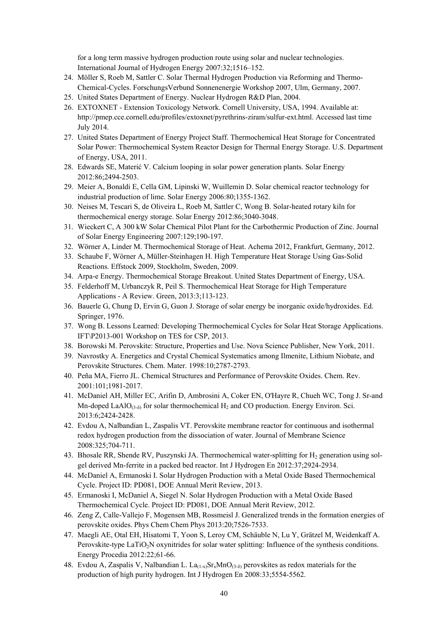for a long term massive hydrogen production route using solar and nuclear technologies. International Journal of Hydrogen Energy 2007:32;1516–152.

- 24. Möller S, Roeb M, Sattler C. Solar Thermal Hydrogen Production via Reforming and Thermo-Chemical-Cycles. ForschungsVerbund Sonnenenergie Workshop 2007, Ulm, Germany, 2007.
- 25. United States Department of Energy. Nuclear Hydrogen R&D Plan, 2004.
- 26. EXTOXNET Extension Toxicology Network. Cornell University, USA, 1994. Available at: http://pmep.cce.cornell.edu/profiles/extoxnet/pyrethrins-ziram/sulfur-ext.html. Accessed last time July 2014.
- 27. United States Department of Energy Project Staff. Thermochemical Heat Storage for Concentrated Solar Power: Thermochemical System Reactor Design for Thermal Energy Storage. U.S. Department of Energy, USA, 2011.
- 28. Edwards SE, Materić V. Calcium looping in solar power generation plants. Solar Energy 2012:86;2494-2503.
- 29. Meier A, Bonaldi E, Cella GM, Lipinski W, Wuillemin D. Solar chemical reactor technology for industrial production of lime. Solar Energy 2006:80;1355-1362.
- 30. Neises M, Tescari S, de Oliveira L, Roeb M, Sattler C, Wong B. Solar-heated rotary kiln for thermochemical energy storage. Solar Energy 2012:86;3040-3048.
- 31. Wieckert C, A 300 kW Solar Chemical Pilot Plant for the Carbothermic Production of Zinc. Journal of Solar Energy Engineering 2007:129;190-197.
- 32. Wörner A, Linder M. Thermochemical Storage of Heat. Achema 2012, Frankfurt, Germany, 2012.
- 33. Schaube F, Wörner A, Müller-Steinhagen H. High Temperature Heat Storage Using Gas-Solid Reactions. Effstock 2009, Stockholm, Sweden, 2009.
- 34. Arpa-e Energy. Thermochemical Storage Breakout. United States Department of Energy, USA.
- 35. Felderhoff M, Urbanczyk R, Peil S. Thermochemical Heat Storage for High Temperature Applications - A Review. Green, 2013:3;113-123.
- 36. Bauerle G, Chung D, Ervin G, Guon J. Storage of solar energy be inorganic oxide/hydroxides. Ed. Springer, 1976.
- 37. Wong B. Lessons Learned: Developing Thermochemical Cycles for Solar Heat Storage Applications. IFT\P2013-001 Workshop on TES for CSP, 2013.
- 38. Borowski M. Perovskite: Structure, Properties and Use. Nova Science Publisher, New York, 2011.
- 39. Navrostky A. Energetics and Crystal Chemical Systematics among Ilmenite, Lithium Niobate, and Perovskite Structures. Chem. Mater. 1998:10;2787-2793.
- 40. Peña MA, Fierro JL. Chemical Structures and Performance of Perovskite Oxides. Chem. Rev. 2001:101;1981-2017.
- 41. McDaniel AH, Miller EC, Arifin D, Ambrosini A, Coker EN, O'Hayre R, Chueh WC, Tong J. Sr-and Mn-doped LaAlO( $3-δ$ ) for solar thermochemical H<sub>2</sub> and CO production. Energy Environ. Sci. 2013:6;2424-2428.
- 42. Evdou A, Nalbandian L, Zaspalis VT. Perovskite membrane reactor for continuous and isothermal redox hydrogen production from the dissociation of water. Journal of Membrane Science 2008:325;704-711.
- 43. Bhosale RR, Shende RV, Puszynski JA. Thermochemical water-splitting for  $H_2$  generation using solgel derived Mn-ferrite in a packed bed reactor. Int J Hydrogen En 2012:37;2924-2934.
- 44. McDaniel A, Ermanoski I. Solar Hydrogen Production with a Metal Oxide Based Thermochemical Cycle. Project ID: PD081, DOE Annual Merit Review, 2013.
- 45. Ermanoski I, McDaniel A, Siegel N. Solar Hydrogen Production with a Metal Oxide Based Thermochemical Cycle. Project ID: PD081, DOE Annual Merit Review, 2012.
- 46. Zeng Z, Calle-Vallejo F, Mogensen MB, Rossmeisl J. Generalized trends in the formation energies of perovskite oxides. Phys Chem Chem Phys 2013:20;7526-7533.
- 47. Maegli AE, Otal EH, Hisatomi T, Yoon S, Leroy CM, Schäuble N, Lu Y, Grätzel M, Weidenkaff A. Perovskite-type LaTiO<sub>2</sub>N oxynitrides for solar water splitting: Influence of the synthesis conditions. Energy Procedia 2012:22;61-66.
- 48. Evdou A, Zaspalis V, Nalbandian L. La<sub>(1-x)</sub>Sr<sub>x</sub>MnO<sub>(3- $\delta$ )</sub> perovskites as redox materials for the production of high purity hydrogen. Int J Hydrogen En 2008:33;5554-5562.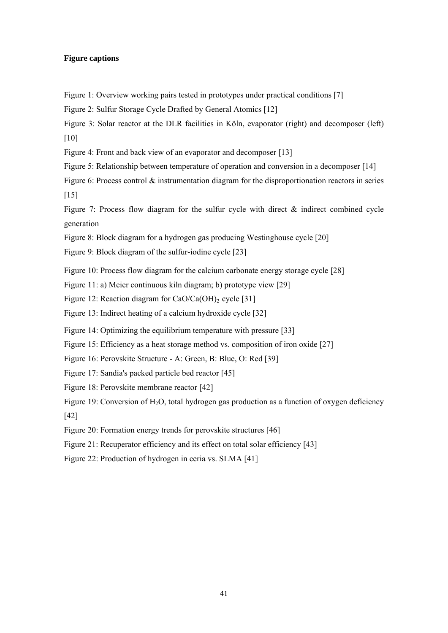# **Figure captions**

Figure 1: Overview working pairs tested in prototypes under practical conditions [7]

Figure 2: Sulfur Storage Cycle Drafted by General Atomics [12]

Figure 3: Solar reactor at the DLR facilities in Köln, evaporator (right) and decomposer (left) [10]

Figure 4: Front and back view of an evaporator and decomposer [13]

Figure 5: Relationship between temperature of operation and conversion in a decomposer [14]

Figure 6: Process control  $\&$  instrumentation diagram for the disproportionation reactors in series [15]

Figure 7: Process flow diagram for the sulfur cycle with direct  $\&$  indirect combined cycle generation

Figure 8: Block diagram for a hydrogen gas producing Westinghouse cycle [20]

Figure 9: Block diagram of the sulfur-iodine cycle [23]

Figure 10: Process flow diagram for the calcium carbonate energy storage cycle [28]

Figure 11: a) Meier continuous kiln diagram; b) prototype view [29]

Figure 12: Reaction diagram for  $CaO/Ca(OH)$ <sub>2</sub> cycle [31]

Figure 13: Indirect heating of a calcium hydroxide cycle [32]

Figure 14: Optimizing the equilibrium temperature with pressure [33]

Figure 15: Efficiency as a heat storage method vs. composition of iron oxide [27]

Figure 16: Perovskite Structure - A: Green, B: Blue, O: Red [39]

Figure 17: Sandia's packed particle bed reactor [45]

Figure 18: Perovskite membrane reactor [42]

Figure 19: Conversion of  $H_2O$ , total hydrogen gas production as a function of oxygen deficiency

[42]

Figure 20: Formation energy trends for perovskite structures [46]

Figure 21: Recuperator efficiency and its effect on total solar efficiency [43]

Figure 22: Production of hydrogen in ceria vs. SLMA [41]